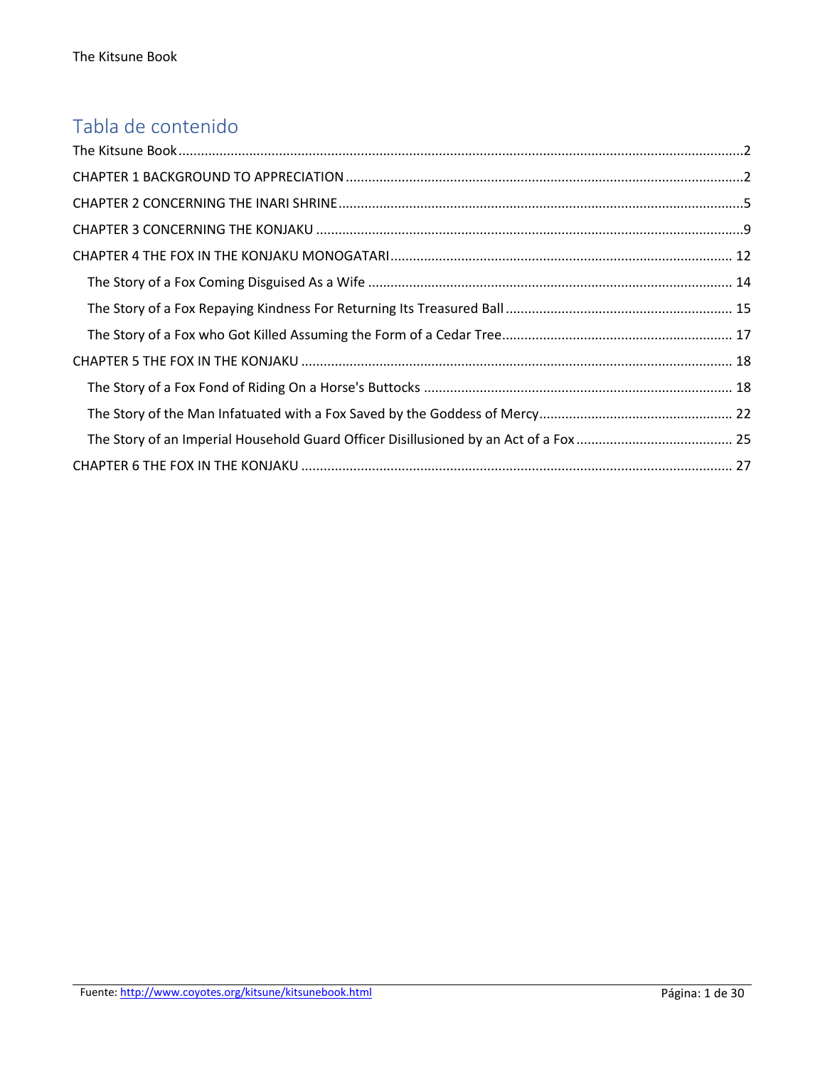# Tabla de contenido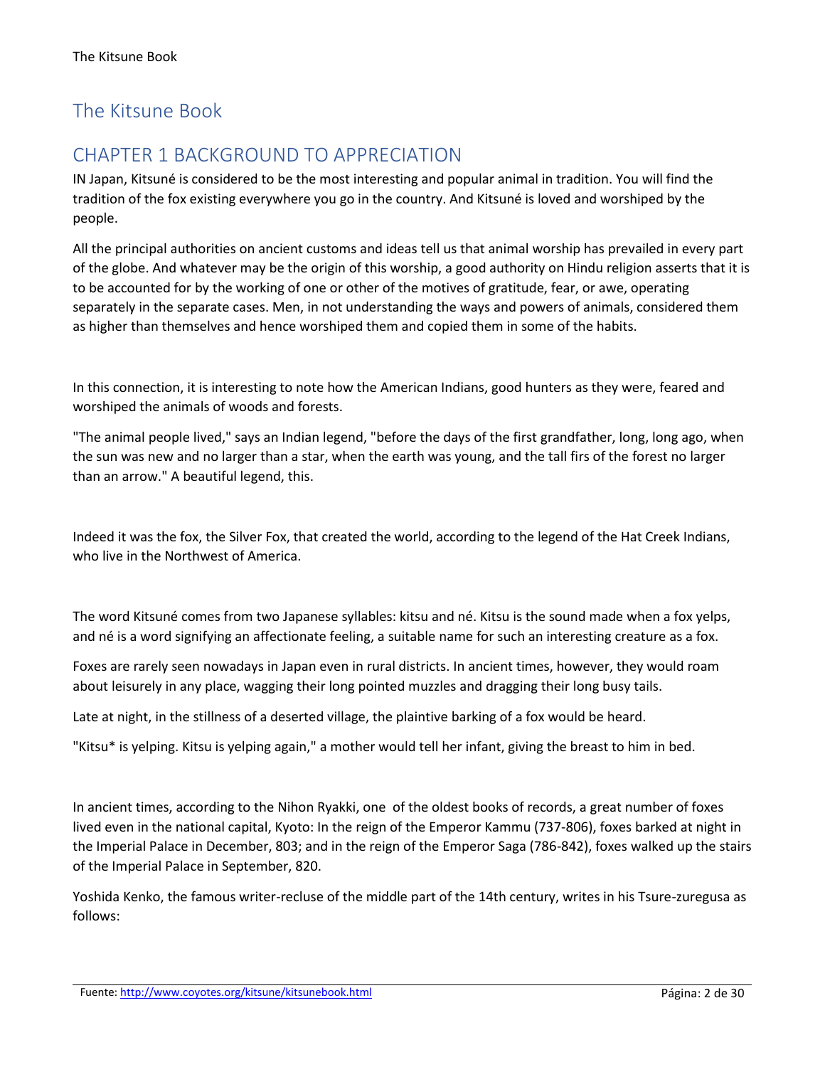# <span id="page-1-0"></span>The Kitsune Book

## <span id="page-1-1"></span>CHAPTER 1 BACKGROUND TO APPRECIATION

IN Japan, Kitsuné is considered to be the most interesting and popular animal in tradition. You will find the tradition of the fox existing everywhere you go in the country. And Kitsuné is loved and worshiped by the people.

All the principal authorities on ancient customs and ideas tell us that animal worship has prevailed in every part of the globe. And whatever may be the origin of this worship, a good authority on Hindu religion asserts that it is to be accounted for by the working of one or other of the motives of gratitude, fear, or awe, operating separately in the separate cases. Men, in not understanding the ways and powers of animals, considered them as higher than themselves and hence worshiped them and copied them in some of the habits.

In this connection, it is interesting to note how the American Indians, good hunters as they were, feared and worshiped the animals of woods and forests.

"The animal people lived," says an Indian legend, "before the days of the first grandfather, long, long ago, when the sun was new and no larger than a star, when the earth was young, and the tall firs of the forest no larger than an arrow." A beautiful legend, this.

Indeed it was the fox, the Silver Fox, that created the world, according to the legend of the Hat Creek Indians, who live in the Northwest of America.

The word Kitsuné comes from two Japanese syllables: kitsu and né. Kitsu is the sound made when a fox yelps, and né is a word signifying an affectionate feeling, a suitable name for such an interesting creature as a fox.

Foxes are rarely seen nowadays in Japan even in rural districts. In ancient times, however, they would roam about leisurely in any place, wagging their long pointed muzzles and dragging their long busy tails.

Late at night, in the stillness of a deserted village, the plaintive barking of a fox would be heard.

"Kitsu\* is yelping. Kitsu is yelping again," a mother would tell her infant, giving the breast to him in bed.

In ancient times, according to the Nihon Ryakki, one of the oldest books of records, a great number of foxes lived even in the national capital, Kyoto: In the reign of the Emperor Kammu (737-806), foxes barked at night in the Imperial Palace in December, 803; and in the reign of the Emperor Saga (786-842), foxes walked up the stairs of the Imperial Palace in September, 820.

Yoshida Kenko, the famous writer-recluse of the middle part of the 14th century, writes in his Tsure-zuregusa as follows: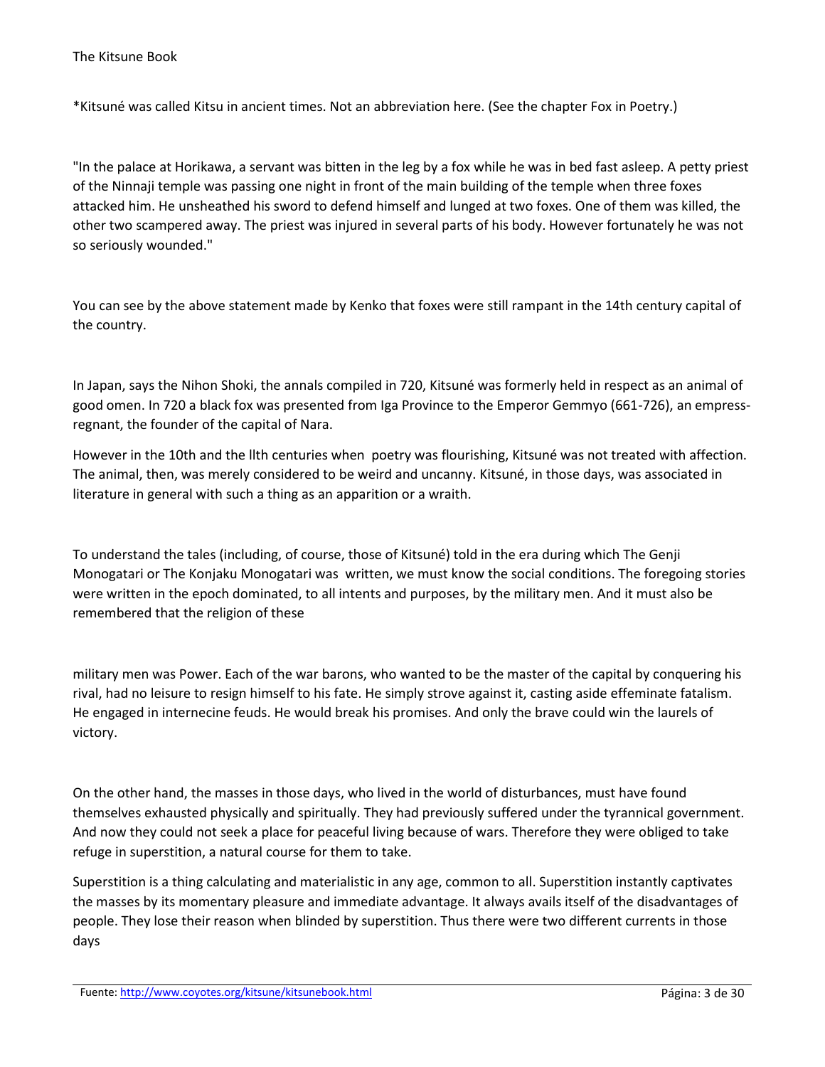\*Kitsuné was called Kitsu in ancient times. Not an abbreviation here. (See the chapter Fox in Poetry.)

"In the palace at Horikawa, a servant was bitten in the leg by a fox while he was in bed fast asleep. A petty priest of the Ninnaji temple was passing one night in front of the main building of the temple when three foxes attacked him. He unsheathed his sword to defend himself and lunged at two foxes. One of them was killed, the other two scampered away. The priest was injured in several parts of his body. However fortunately he was not so seriously wounded."

You can see by the above statement made by Kenko that foxes were still rampant in the 14th century capital of the country.

In Japan, says the Nihon Shoki, the annals compiled in 720, Kitsuné was formerly held in respect as an animal of good omen. In 720 a black fox was presented from Iga Province to the Emperor Gemmyo (661-726), an empressregnant, the founder of the capital of Nara.

However in the 10th and the llth centuries when poetry was flourishing, Kitsuné was not treated with affection. The animal, then, was merely considered to be weird and uncanny. Kitsuné, in those days, was associated in literature in general with such a thing as an apparition or a wraith.

To understand the tales (including, of course, those of Kitsuné) told in the era during which The Genji Monogatari or The Konjaku Monogatari was written, we must know the social conditions. The foregoing stories were written in the epoch dominated, to all intents and purposes, by the military men. And it must also be remembered that the religion of these

military men was Power. Each of the war barons, who wanted to be the master of the capital by conquering his rival, had no leisure to resign himself to his fate. He simply strove against it, casting aside effeminate fatalism. He engaged in internecine feuds. He would break his promises. And only the brave could win the laurels of victory.

On the other hand, the masses in those days, who lived in the world of disturbances, must have found themselves exhausted physically and spiritually. They had previously suffered under the tyrannical government. And now they could not seek a place for peaceful living because of wars. Therefore they were obliged to take refuge in superstition, a natural course for them to take.

Superstition is a thing calculating and materialistic in any age, common to all. Superstition instantly captivates the masses by its momentary pleasure and immediate advantage. It always avails itself of the disadvantages of people. They lose their reason when blinded by superstition. Thus there were two different currents in those days

Fuente: <http://www.coyotes.org/kitsune/kitsunebook.html> Página: 3 de 30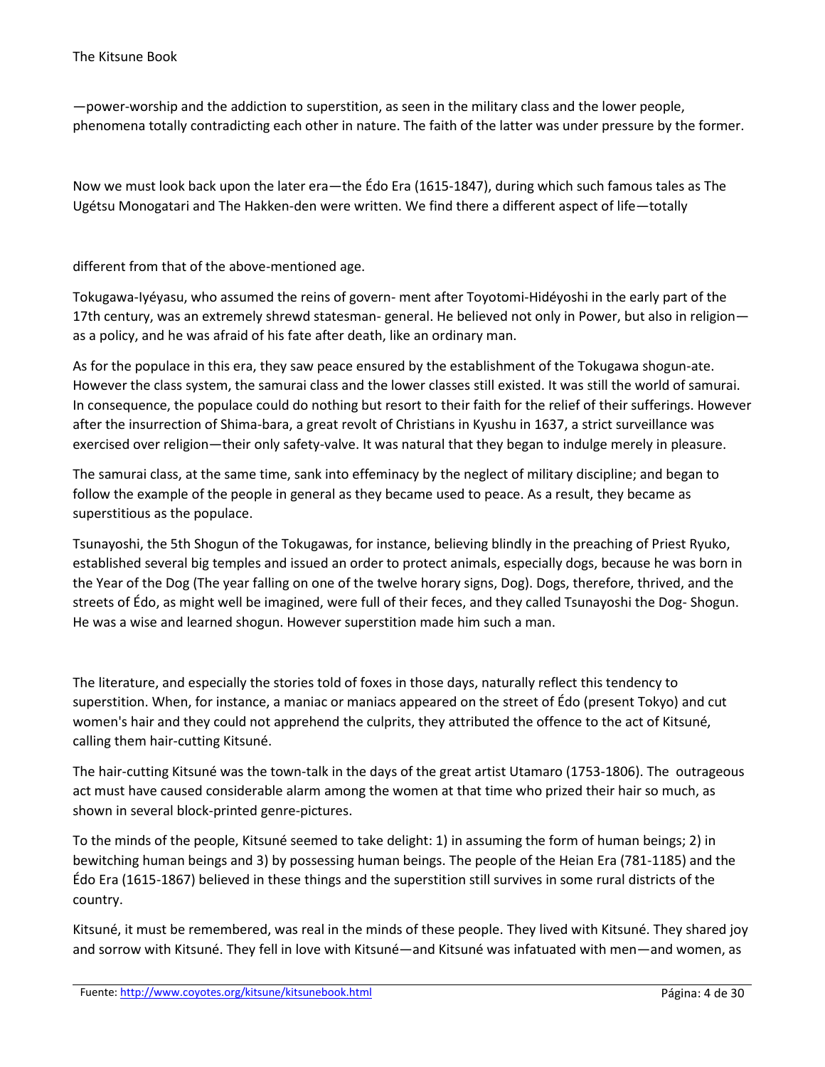—power-worship and the addiction to superstition, as seen in the military class and the lower people, phenomena totally contradicting each other in nature. The faith of the latter was under pressure by the former.

Now we must look back upon the later era—the Édo Era (1615-1847), during which such famous tales as The Ugétsu Monogatari and The Hakken-den were written. We find there a different aspect of life—totally

different from that of the above-mentioned age.

Tokugawa-Iyéyasu, who assumed the reins of govern- ment after Toyotomi-Hidéyoshi in the early part of the 17th century, was an extremely shrewd statesman- general. He believed not only in Power, but also in religion as a policy, and he was afraid of his fate after death, like an ordinary man.

As for the populace in this era, they saw peace ensured by the establishment of the Tokugawa shogun-ate. However the class system, the samurai class and the lower classes still existed. It was still the world of samurai. In consequence, the populace could do nothing but resort to their faith for the relief of their sufferings. However after the insurrection of Shima-bara, a great revolt of Christians in Kyushu in 1637, a strict surveillance was exercised over religion—their only safety-valve. It was natural that they began to indulge merely in pleasure.

The samurai class, at the same time, sank into effeminacy by the neglect of military discipline; and began to follow the example of the people in general as they became used to peace. As a result, they became as superstitious as the populace.

Tsunayoshi, the 5th Shogun of the Tokugawas, for instance, believing blindly in the preaching of Priest Ryuko, established several big temples and issued an order to protect animals, especially dogs, because he was born in the Year of the Dog (The year falling on one of the twelve horary signs, Dog). Dogs, therefore, thrived, and the streets of Édo, as might well be imagined, were full of their feces, and they called Tsunayoshi the Dog- Shogun. He was a wise and learned shogun. However superstition made him such a man.

The literature, and especially the stories told of foxes in those days, naturally reflect this tendency to superstition. When, for instance, a maniac or maniacs appeared on the street of Édo (present Tokyo) and cut women's hair and they could not apprehend the culprits, they attributed the offence to the act of Kitsuné, calling them hair-cutting Kitsuné.

The hair-cutting Kitsuné was the town-talk in the days of the great artist Utamaro (1753-1806). The outrageous act must have caused considerable alarm among the women at that time who prized their hair so much, as shown in several block-printed genre-pictures.

To the minds of the people, Kitsuné seemed to take delight: 1) in assuming the form of human beings; 2) in bewitching human beings and 3) by possessing human beings. The people of the Heian Era (781-1185) and the Édo Era (1615-1867) believed in these things and the superstition still survives in some rural districts of the country.

Kitsuné, it must be remembered, was real in the minds of these people. They lived with Kitsuné. They shared joy and sorrow with Kitsuné. They fell in love with Kitsuné—and Kitsuné was infatuated with men—and women, as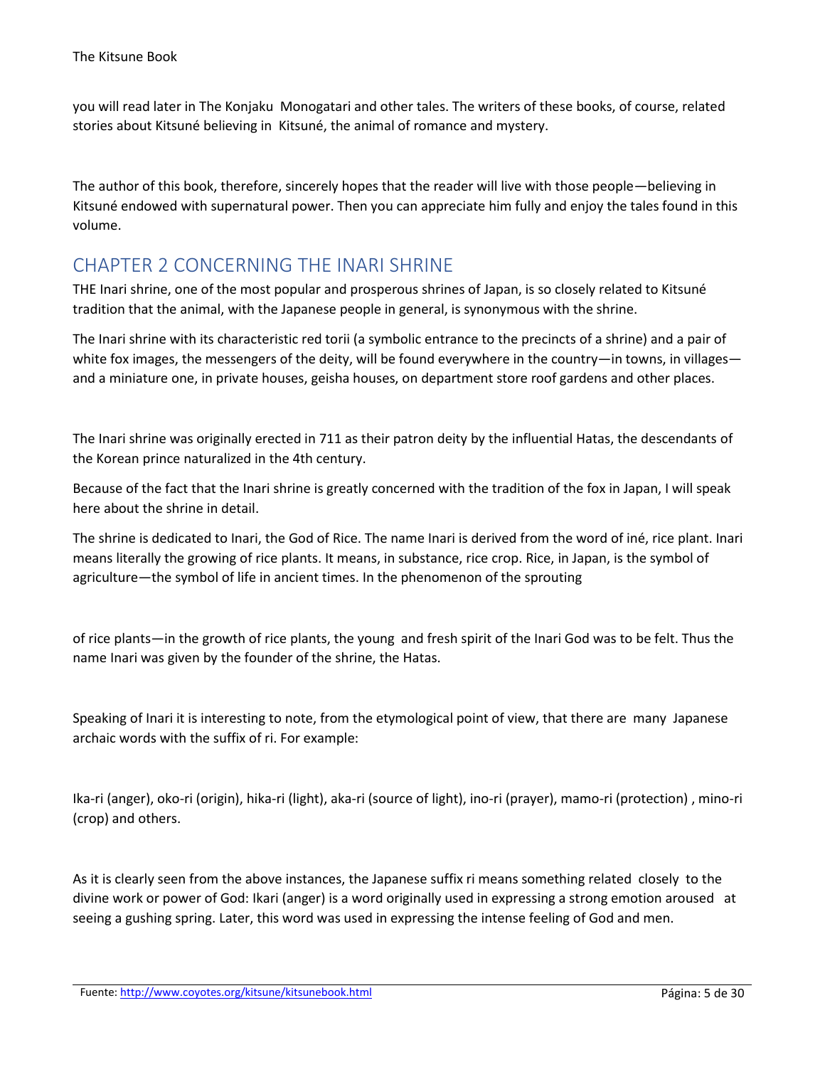you will read later in The Konjaku Monogatari and other tales. The writers of these books, of course, related stories about Kitsuné believing in Kitsuné, the animal of romance and mystery.

The author of this book, therefore, sincerely hopes that the reader will live with those people—believing in Kitsuné endowed with supernatural power. Then you can appreciate him fully and enjoy the tales found in this volume.

## <span id="page-4-0"></span>CHAPTER 2 CONCERNING THE INARI SHRINE

THE Inari shrine, one of the most popular and prosperous shrines of Japan, is so closely related to Kitsuné tradition that the animal, with the Japanese people in general, is synonymous with the shrine.

The Inari shrine with its characteristic red torii (a symbolic entrance to the precincts of a shrine) and a pair of white fox images, the messengers of the deity, will be found everywhere in the country—in towns, in villages and a miniature one, in private houses, geisha houses, on department store roof gardens and other places.

The Inari shrine was originally erected in 711 as their patron deity by the influential Hatas, the descendants of the Korean prince naturalized in the 4th century.

Because of the fact that the Inari shrine is greatly concerned with the tradition of the fox in Japan, I will speak here about the shrine in detail.

The shrine is dedicated to Inari, the God of Rice. The name Inari is derived from the word of iné, rice plant. Inari means literally the growing of rice plants. It means, in substance, rice crop. Rice, in Japan, is the symbol of agriculture—the symbol of life in ancient times. In the phenomenon of the sprouting

of rice plants—in the growth of rice plants, the young and fresh spirit of the Inari God was to be felt. Thus the name Inari was given by the founder of the shrine, the Hatas.

Speaking of Inari it is interesting to note, from the etymological point of view, that there are many Japanese archaic words with the suffix of ri. For example:

Ika-ri (anger), oko-ri (origin), hika-ri (light), aka-ri (source of light), ino-ri (prayer), mamo-ri (protection) , mino-ri (crop) and others.

As it is clearly seen from the above instances, the Japanese suffix ri means something related closely to the divine work or power of God: Ikari (anger) is a word originally used in expressing a strong emotion aroused at seeing a gushing spring. Later, this word was used in expressing the intense feeling of God and men.

Fuente: <http://www.coyotes.org/kitsune/kitsunebook.html> Página: 5 de 30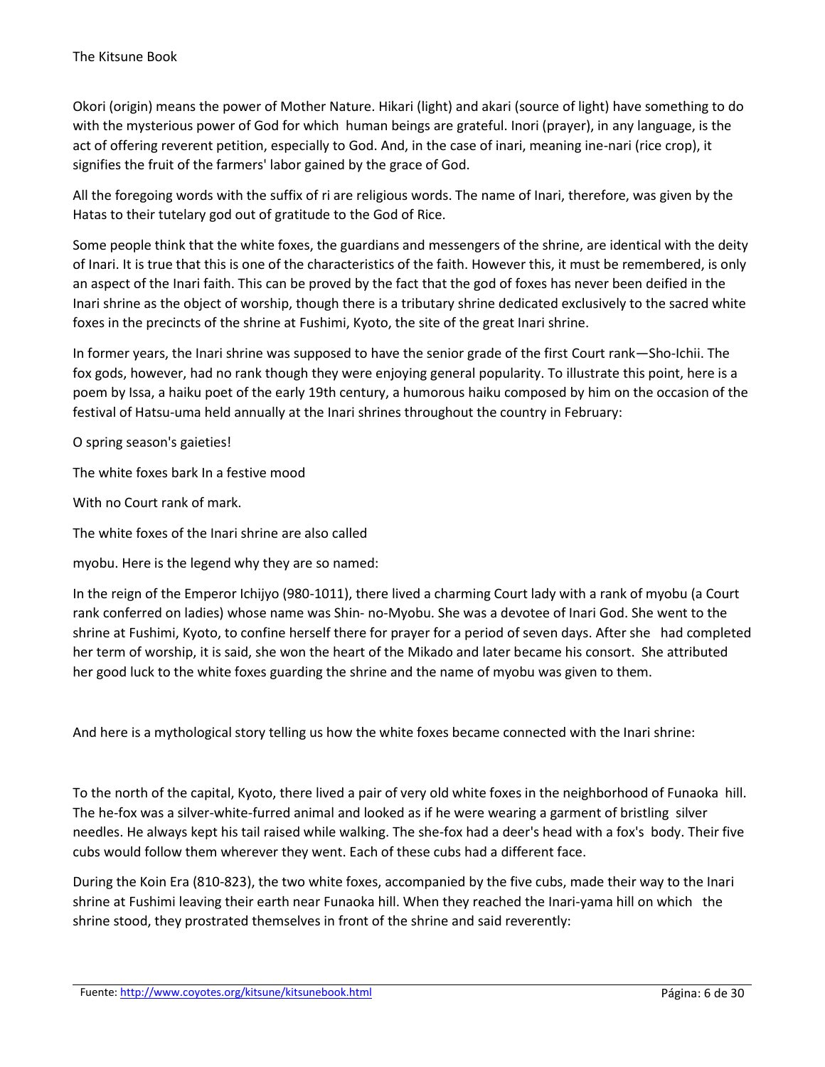Okori (origin) means the power of Mother Nature. Hikari (light) and akari (source of light) have something to do with the mysterious power of God for which human beings are grateful. Inori (prayer), in any language, is the act of offering reverent petition, especially to God. And, in the case of inari, meaning ine-nari (rice crop), it signifies the fruit of the farmers' labor gained by the grace of God.

All the foregoing words with the suffix of ri are religious words. The name of Inari, therefore, was given by the Hatas to their tutelary god out of gratitude to the God of Rice.

Some people think that the white foxes, the guardians and messengers of the shrine, are identical with the deity of Inari. It is true that this is one of the characteristics of the faith. However this, it must be remembered, is only an aspect of the Inari faith. This can be proved by the fact that the god of foxes has never been deified in the Inari shrine as the object of worship, though there is a tributary shrine dedicated exclusively to the sacred white foxes in the precincts of the shrine at Fushimi, Kyoto, the site of the great Inari shrine.

In former years, the Inari shrine was supposed to have the senior grade of the first Court rank—Sho-Ichii. The fox gods, however, had no rank though they were enjoying general popularity. To illustrate this point, here is a poem by Issa, a haiku poet of the early 19th century, a humorous haiku composed by him on the occasion of the festival of Hatsu-uma held annually at the Inari shrines throughout the country in February:

O spring season's gaieties!

The white foxes bark In a festive mood

With no Court rank of mark.

The white foxes of the Inari shrine are also called

myobu. Here is the legend why they are so named:

In the reign of the Emperor Ichijyo (980-1011), there lived a charming Court lady with a rank of myobu (a Court rank conferred on ladies) whose name was Shin- no-Myobu. She was a devotee of Inari God. She went to the shrine at Fushimi, Kyoto, to confine herself there for prayer for a period of seven days. After she had completed her term of worship, it is said, she won the heart of the Mikado and later became his consort. She attributed her good luck to the white foxes guarding the shrine and the name of myobu was given to them.

And here is a mythological story telling us how the white foxes became connected with the Inari shrine:

To the north of the capital, Kyoto, there lived a pair of very old white foxes in the neighborhood of Funaoka hill. The he-fox was a silver-white-furred animal and looked as if he were wearing a garment of bristling silver needles. He always kept his tail raised while walking. The she-fox had a deer's head with a fox's body. Their five cubs would follow them wherever they went. Each of these cubs had a different face.

During the Koin Era (810-823), the two white foxes, accompanied by the five cubs, made their way to the Inari shrine at Fushimi leaving their earth near Funaoka hill. When they reached the Inari-yama hill on which the shrine stood, they prostrated themselves in front of the shrine and said reverently:

Fuente: <http://www.coyotes.org/kitsune/kitsunebook.html> Página: 6 de 30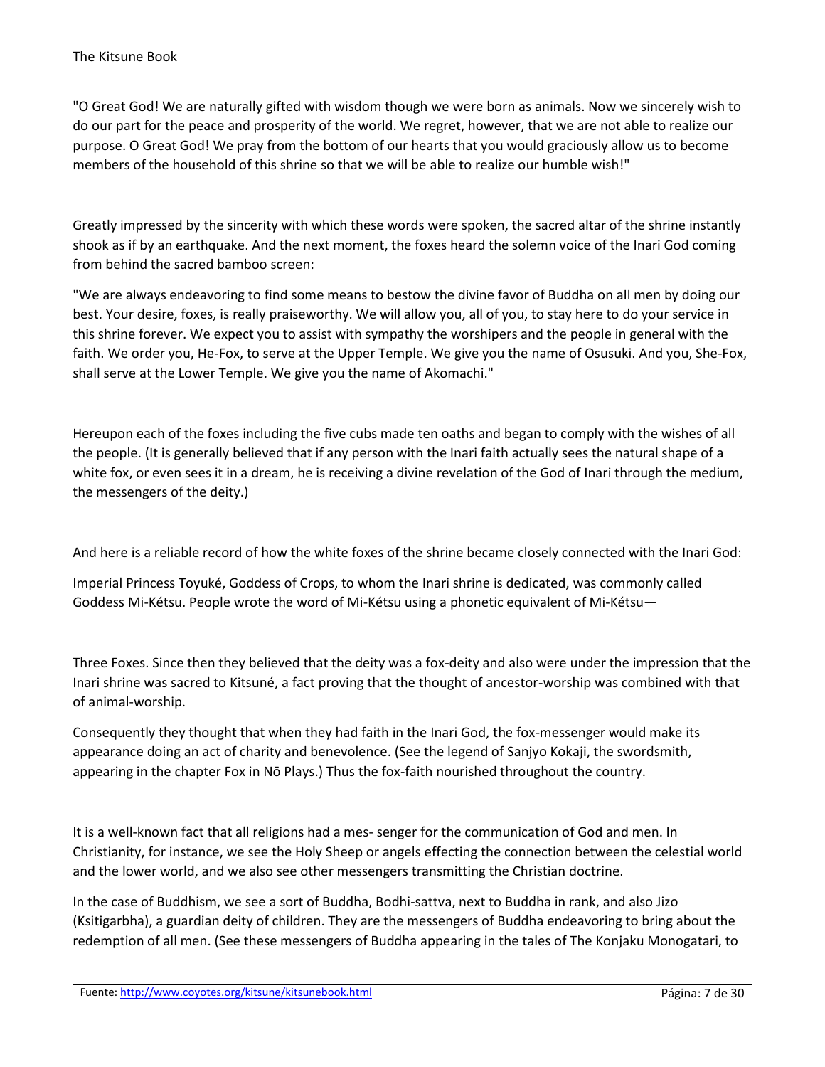"O Great God! We are naturally gifted with wisdom though we were born as animals. Now we sincerely wish to do our part for the peace and prosperity of the world. We regret, however, that we are not able to realize our purpose. O Great God! We pray from the bottom of our hearts that you would graciously allow us to become members of the household of this shrine so that we will be able to realize our humble wish!"

Greatly impressed by the sincerity with which these words were spoken, the sacred altar of the shrine instantly shook as if by an earthquake. And the next moment, the foxes heard the solemn voice of the Inari God coming from behind the sacred bamboo screen:

"We are always endeavoring to find some means to bestow the divine favor of Buddha on all men by doing our best. Your desire, foxes, is really praiseworthy. We will allow you, all of you, to stay here to do your service in this shrine forever. We expect you to assist with sympathy the worshipers and the people in general with the faith. We order you, He-Fox, to serve at the Upper Temple. We give you the name of Osusuki. And you, She-Fox, shall serve at the Lower Temple. We give you the name of Akomachi."

Hereupon each of the foxes including the five cubs made ten oaths and began to comply with the wishes of all the people. (It is generally believed that if any person with the Inari faith actually sees the natural shape of a white fox, or even sees it in a dream, he is receiving a divine revelation of the God of Inari through the medium, the messengers of the deity.)

And here is a reliable record of how the white foxes of the shrine became closely connected with the Inari God:

Imperial Princess Toyuké, Goddess of Crops, to whom the Inari shrine is dedicated, was commonly called Goddess Mi-Kétsu. People wrote the word of Mi-Kétsu using a phonetic equivalent of Mi-Kétsu—

Three Foxes. Since then they believed that the deity was a fox-deity and also were under the impression that the Inari shrine was sacred to Kitsuné, a fact proving that the thought of ancestor-worship was combined with that of animal-worship.

Consequently they thought that when they had faith in the Inari God, the fox-messenger would make its appearance doing an act of charity and benevolence. (See the legend of Sanjyo Kokaji, the swordsmith, appearing in the chapter Fox in Nō Plays.) Thus the fox-faith nourished throughout the country.

It is a well-known fact that all religions had a mes- senger for the communication of God and men. In Christianity, for instance, we see the Holy Sheep or angels effecting the connection between the celestial world and the lower world, and we also see other messengers transmitting the Christian doctrine.

In the case of Buddhism, we see a sort of Buddha, Bodhi-sattva, next to Buddha in rank, and also Jizo (Ksitigarbha), a guardian deity of children. They are the messengers of Buddha endeavoring to bring about the redemption of all men. (See these messengers of Buddha appearing in the tales of The Konjaku Monogatari, to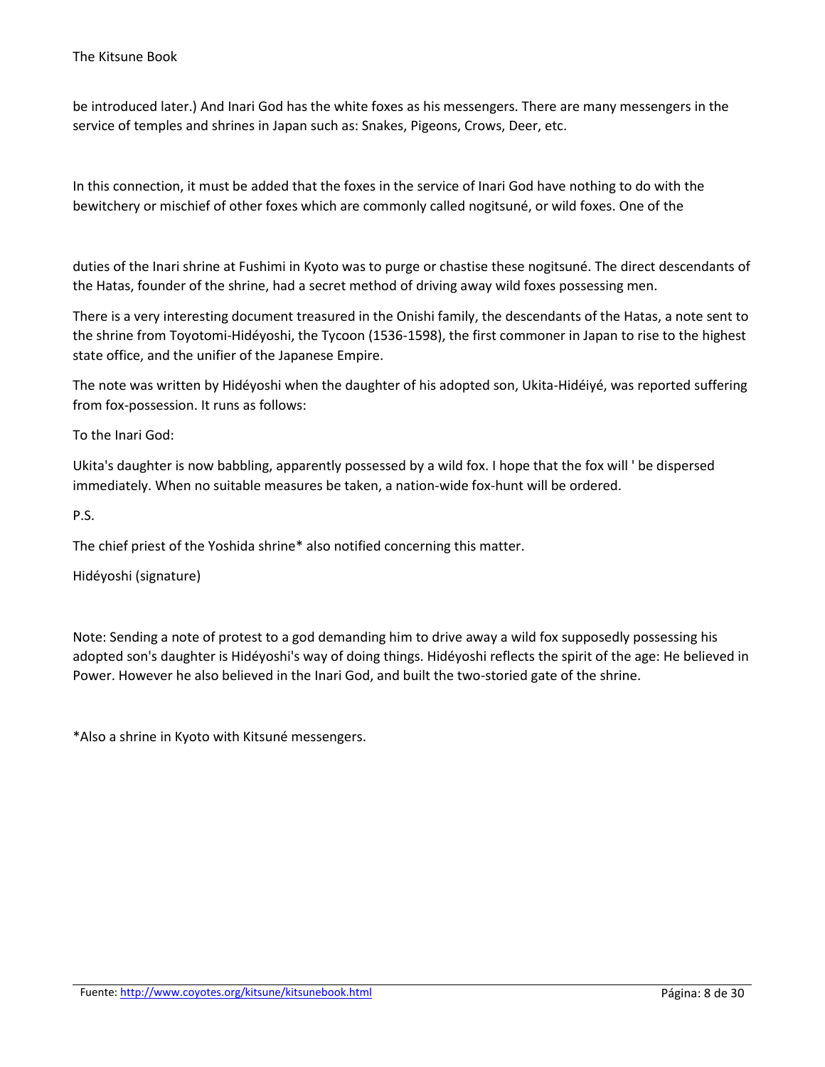be introduced later.) And Inari God has the white foxes as his messengers. There are many messengers in the service of temples and shrines in Japan such as: Snakes, Pigeons, Crows, Deer, etc.

In this connection, it must be added that the foxes in the service of Inari God have nothing to do with the bewitchery or mischief of other foxes which are commonly called nogitsuné, or wild foxes. One of the

duties of the Inari shrine at Fushimi in Kyoto was to purge or chastise these nogitsuné. The direct descendants of the Hatas, founder of the shrine, had a secret method of driving away wild foxes possessing men.

There is a very interesting document treasured in the Onishi family, the descendants of the Hatas, a note sent to the shrine from Toyotomi-Hidéyoshi, the Tycoon (1536-1598), the first commoner in Japan to rise to the highest state office, and the unifier of the Japanese Empire.

The note was written by Hidéyoshi when the daughter of his adopted son, Ukita-Hidéiyé, was reported suffering from fox-possession. It runs as follows:

To the Inari God:

Ukita's daughter is now babbling, apparently possessed by a wild fox. I hope that the fox will ' be dispersed immediately. When no suitable measures be taken, a nation-wide fox-hunt will be ordered.

P.S.

The chief priest of the Yoshida shrine\* also notified concerning this matter.

Hidéyoshi (signature)

Note: Sending a note of protest to a god demanding him to drive away a wild fox supposedly possessing his adopted son's daughter is Hidéyoshi's way of doing things. Hidéyoshi reflects the spirit of the age: He believed in Power. However he also believed in the Inari God, and built the two-storied gate of the shrine.

\*Also a shrine in Kyoto with Kitsuné messengers.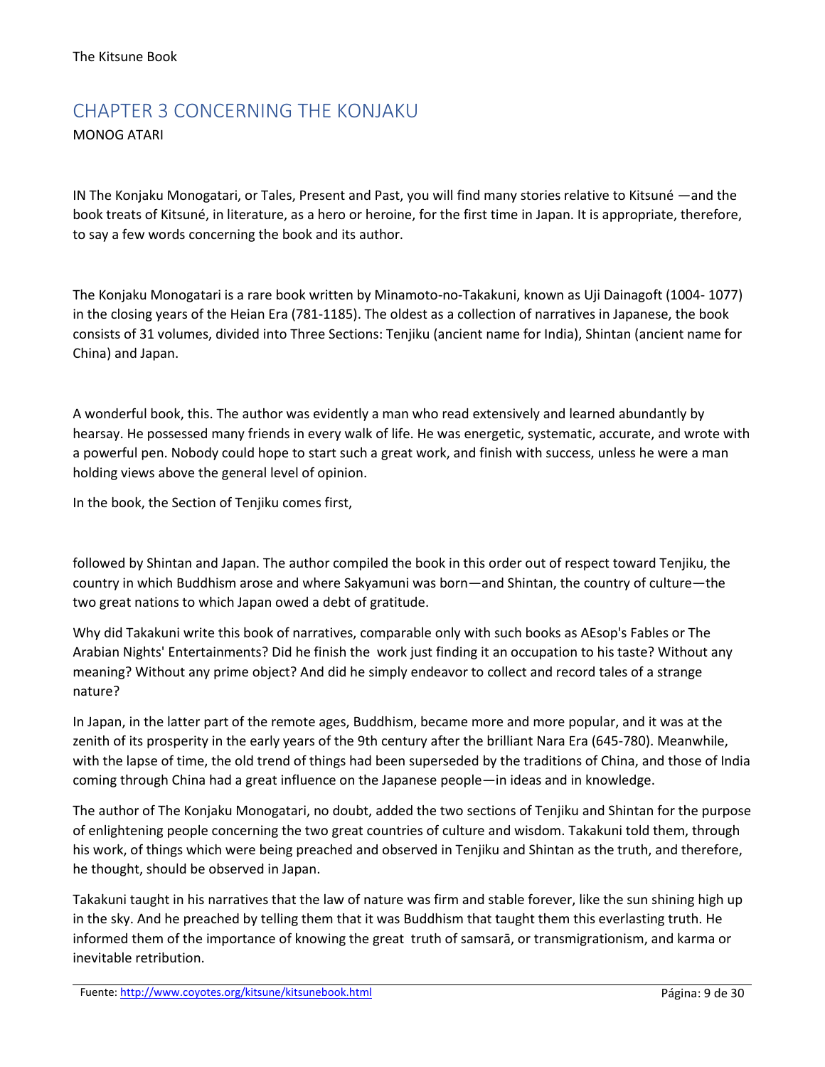# <span id="page-8-0"></span>CHAPTER 3 CONCERNING THE KONJAKU

MONOG ATARI

IN The Konjaku Monogatari, or Tales, Present and Past, you will find many stories relative to Kitsuné —and the book treats of Kitsuné, in literature, as a hero or heroine, for the first time in Japan. It is appropriate, therefore, to say a few words concerning the book and its author.

The Konjaku Monogatari is a rare book written by Minamoto-no-Takakuni, known as Uji Dainagoft (1004- 1077) in the closing years of the Heian Era (781-1185). The oldest as a collection of narratives in Japanese, the book consists of 31 volumes, divided into Three Sections: Tenjiku (ancient name for India), Shintan (ancient name for China) and Japan.

A wonderful book, this. The author was evidently a man who read extensively and learned abundantly by hearsay. He possessed many friends in every walk of life. He was energetic, systematic, accurate, and wrote with a powerful pen. Nobody could hope to start such a great work, and finish with success, unless he were a man holding views above the general level of opinion.

In the book, the Section of Tenjiku comes first,

followed by Shintan and Japan. The author compiled the book in this order out of respect toward Tenjiku, the country in which Buddhism arose and where Sakyamuni was born—and Shintan, the country of culture—the two great nations to which Japan owed a debt of gratitude.

Why did Takakuni write this book of narratives, comparable only with such books as AEsop's Fables or The Arabian Nights' Entertainments? Did he finish the work just finding it an occupation to his taste? Without any meaning? Without any prime object? And did he simply endeavor to collect and record tales of a strange nature?

In Japan, in the latter part of the remote ages, Buddhism, became more and more popular, and it was at the zenith of its prosperity in the early years of the 9th century after the brilliant Nara Era (645-780). Meanwhile, with the lapse of time, the old trend of things had been superseded by the traditions of China, and those of India coming through China had a great influence on the Japanese people—in ideas and in knowledge.

The author of The Konjaku Monogatari, no doubt, added the two sections of Tenjiku and Shintan for the purpose of enlightening people concerning the two great countries of culture and wisdom. Takakuni told them, through his work, of things which were being preached and observed in Tenjiku and Shintan as the truth, and therefore, he thought, should be observed in Japan.

Takakuni taught in his narratives that the law of nature was firm and stable forever, like the sun shining high up in the sky. And he preached by telling them that it was Buddhism that taught them this everlasting truth. He informed them of the importance of knowing the great truth of samsarā, or transmigrationism, and karma or inevitable retribution.

Fuente: <http://www.coyotes.org/kitsune/kitsunebook.html> Página: 9 de 30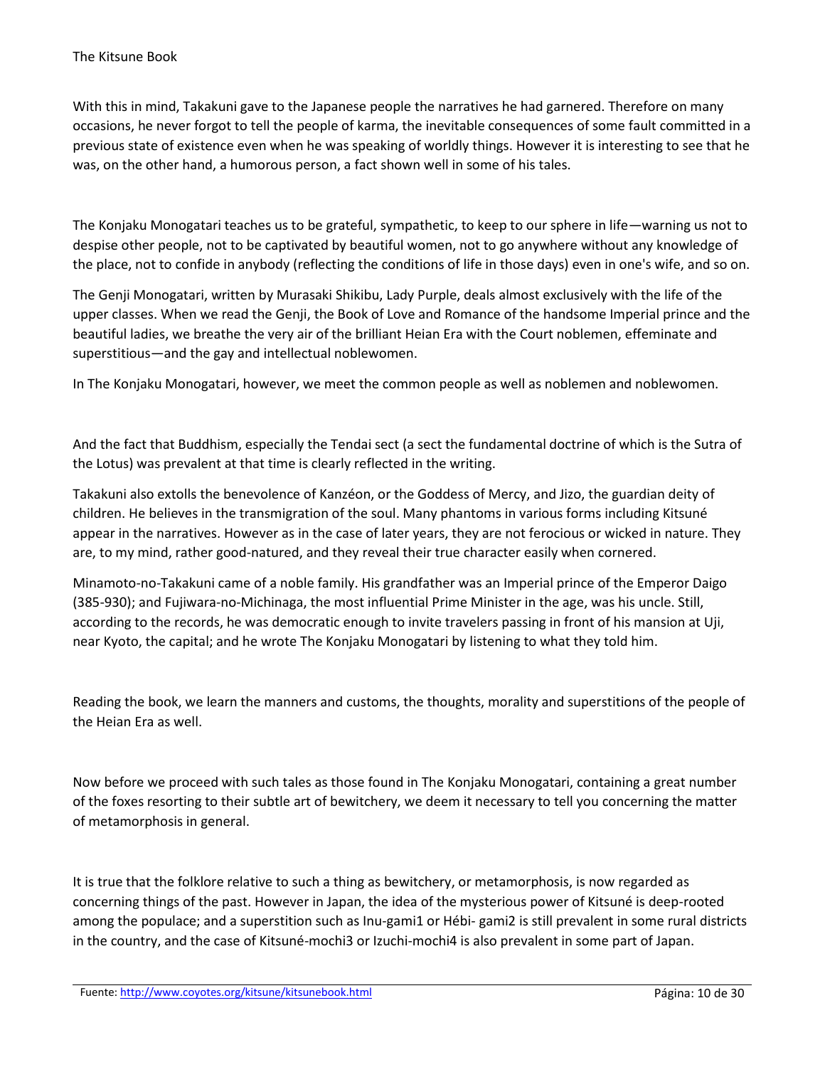With this in mind, Takakuni gave to the Japanese people the narratives he had garnered. Therefore on many occasions, he never forgot to tell the people of karma, the inevitable consequences of some fault committed in a previous state of existence even when he was speaking of worldly things. However it is interesting to see that he was, on the other hand, a humorous person, a fact shown well in some of his tales.

The Konjaku Monogatari teaches us to be grateful, sympathetic, to keep to our sphere in life—warning us not to despise other people, not to be captivated by beautiful women, not to go anywhere without any knowledge of the place, not to confide in anybody (reflecting the conditions of life in those days) even in one's wife, and so on.

The Genji Monogatari, written by Murasaki Shikibu, Lady Purple, deals almost exclusively with the life of the upper classes. When we read the Genji, the Book of Love and Romance of the handsome Imperial prince and the beautiful ladies, we breathe the very air of the brilliant Heian Era with the Court noblemen, effeminate and superstitious—and the gay and intellectual noblewomen.

In The Konjaku Monogatari, however, we meet the common people as well as noblemen and noblewomen.

And the fact that Buddhism, especially the Tendai sect (a sect the fundamental doctrine of which is the Sutra of the Lotus) was prevalent at that time is clearly reflected in the writing.

Takakuni also extolls the benevolence of Kanzéon, or the Goddess of Mercy, and Jizo, the guardian deity of children. He believes in the transmigration of the soul. Many phantoms in various forms including Kitsuné appear in the narratives. However as in the case of later years, they are not ferocious or wicked in nature. They are, to my mind, rather good-natured, and they reveal their true character easily when cornered.

Minamoto-no-Takakuni came of a noble family. His grandfather was an Imperial prince of the Emperor Daigo (385-930); and Fujiwara-no-Michinaga, the most influential Prime Minister in the age, was his uncle. Still, according to the records, he was democratic enough to invite travelers passing in front of his mansion at Uji, near Kyoto, the capital; and he wrote The Konjaku Monogatari by listening to what they told him.

Reading the book, we learn the manners and customs, the thoughts, morality and superstitions of the people of the Heian Era as well.

Now before we proceed with such tales as those found in The Konjaku Monogatari, containing a great number of the foxes resorting to their subtle art of bewitchery, we deem it necessary to tell you concerning the matter of metamorphosis in general.

It is true that the folklore relative to such a thing as bewitchery, or metamorphosis, is now regarded as concerning things of the past. However in Japan, the idea of the mysterious power of Kitsuné is deep-rooted among the populace; and a superstition such as Inu-gami1 or Hébi- gami2 is still prevalent in some rural districts in the country, and the case of Kitsuné-mochi3 or Izuchi-mochi4 is also prevalent in some part of Japan.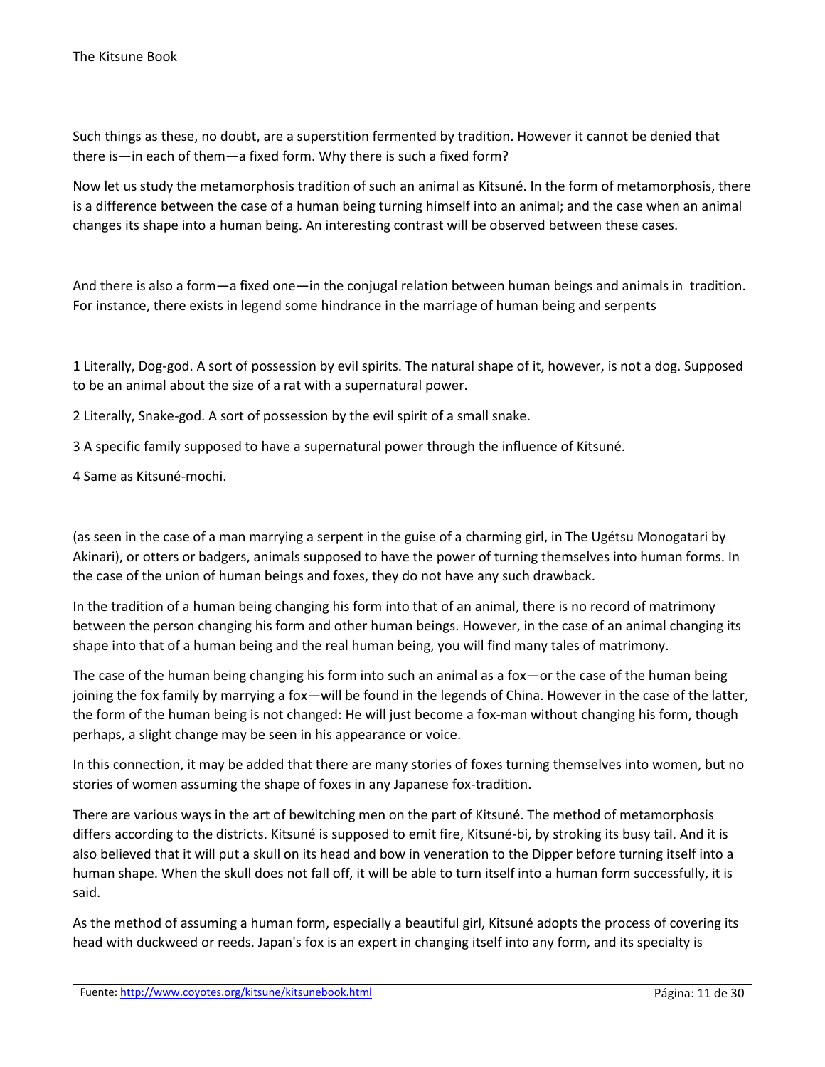Such things as these, no doubt, are a superstition fermented by tradition. However it cannot be denied that there is—in each of them—a fixed form. Why there is such a fixed form?

Now let us study the metamorphosis tradition of such an animal as Kitsuné. In the form of metamorphosis, there is a difference between the case of a human being turning himself into an animal; and the case when an animal changes its shape into a human being. An interesting contrast will be observed between these cases.

And there is also a form—a fixed one—in the conjugal relation between human beings and animals in tradition. For instance, there exists in legend some hindrance in the marriage of human being and serpents

1 Literally, Dog-god. A sort of possession by evil spirits. The natural shape of it, however, is not a dog. Supposed to be an animal about the size of a rat with a supernatural power.

- 2 Literally, Snake-god. A sort of possession by the evil spirit of a small snake.
- 3 A specific family supposed to have a supernatural power through the influence of Kitsuné.
- 4 Same as Kitsuné-mochi.

(as seen in the case of a man marrying a serpent in the guise of a charming girl, in The Ugétsu Monogatari by Akinari), or otters or badgers, animals supposed to have the power of turning themselves into human forms. In the case of the union of human beings and foxes, they do not have any such drawback.

In the tradition of a human being changing his form into that of an animal, there is no record of matrimony between the person changing his form and other human beings. However, in the case of an animal changing its shape into that of a human being and the real human being, you will find many tales of matrimony.

The case of the human being changing his form into such an animal as a fox—or the case of the human being joining the fox family by marrying a fox—will be found in the legends of China. However in the case of the latter, the form of the human being is not changed: He will just become a fox-man without changing his form, though perhaps, a slight change may be seen in his appearance or voice.

In this connection, it may be added that there are many stories of foxes turning themselves into women, but no stories of women assuming the shape of foxes in any Japanese fox-tradition.

There are various ways in the art of bewitching men on the part of Kitsuné. The method of metamorphosis differs according to the districts. Kitsuné is supposed to emit fire, Kitsuné-bi, by stroking its busy tail. And it is also believed that it will put a skull on its head and bow in veneration to the Dipper before turning itself into a human shape. When the skull does not fall off, it will be able to turn itself into a human form successfully, it is said.

As the method of assuming a human form, especially a beautiful girl, Kitsuné adopts the process of covering its head with duckweed or reeds. Japan's fox is an expert in changing itself into any form, and its specialty is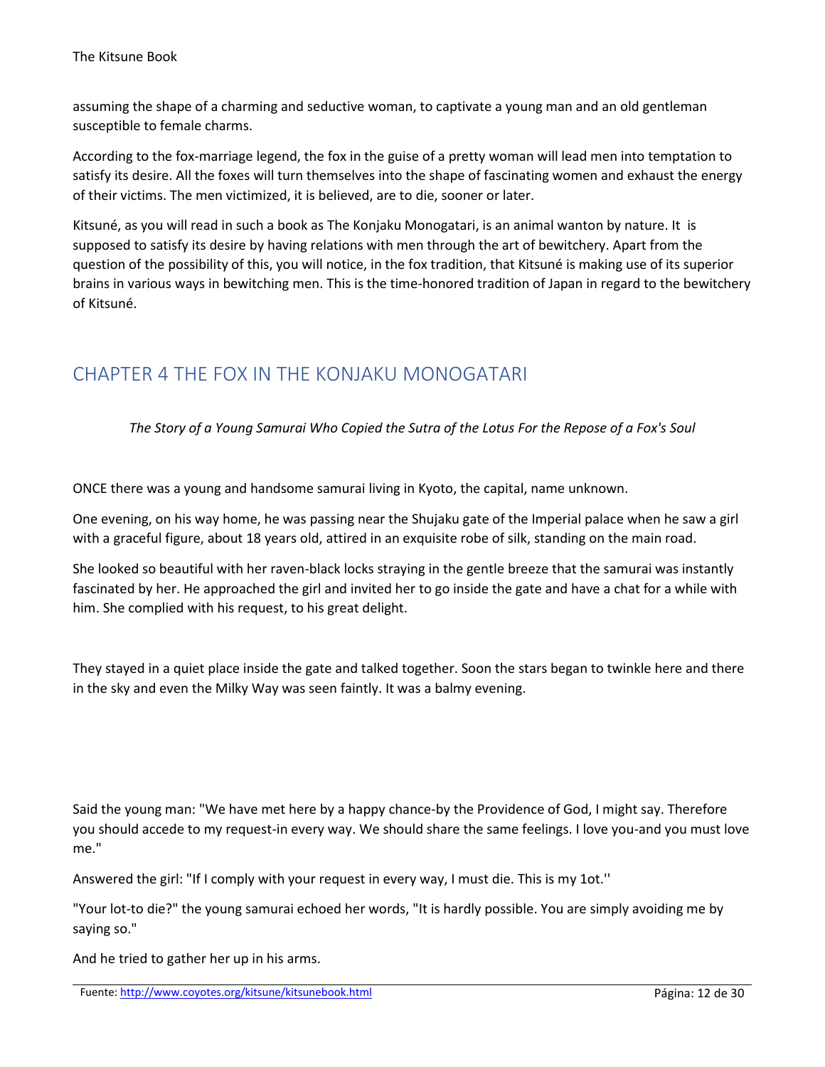assuming the shape of a charming and seductive woman, to captivate a young man and an old gentleman susceptible to female charms.

According to the fox-marriage legend, the fox in the guise of a pretty woman will lead men into temptation to satisfy its desire. All the foxes will turn themselves into the shape of fascinating women and exhaust the energy of their victims. The men victimized, it is believed, are to die, sooner or later.

Kitsuné, as you will read in such a book as The Konjaku Monogatari, is an animal wanton by nature. It is supposed to satisfy its desire by having relations with men through the art of bewitchery. Apart from the question of the possibility of this, you will notice, in the fox tradition, that Kitsuné is making use of its superior brains in various ways in bewitching men. This is the time-honored tradition of Japan in regard to the bewitchery of Kitsuné.

## <span id="page-11-0"></span>CHAPTER 4 THE FOX IN THE KONJAKU MONOGATARI

*The Story of a Young Samurai Who Copied the Sutra of the Lotus For the Repose of a Fox's Soul*

ONCE there was a young and handsome samurai living in Kyoto, the capital, name unknown.

One evening, on his way home, he was passing near the Shujaku gate of the Imperial palace when he saw a girl with a graceful figure, about 18 years old, attired in an exquisite robe of silk, standing on the main road.

She looked so beautiful with her raven-black locks straying in the gentle breeze that the samurai was instantly fascinated by her. He approached the girl and invited her to go inside the gate and have a chat for a while with him. She complied with his request, to his great delight.

They stayed in a quiet place inside the gate and talked together. Soon the stars began to twinkle here and there in the sky and even the Milky Way was seen faintly. It was a balmy evening.

Said the young man: "We have met here by a happy chance-by the Providence of God, I might say. Therefore you should accede to my request-in every way. We should share the same feelings. I love you-and you must love me."

Answered the girl: "If I comply with your request in every way, I must die. This is my 1ot.''

"Your lot-to die?" the young samurai echoed her words, "It is hardly possible. You are simply avoiding me by saying so."

And he tried to gather her up in his arms.

Fuente: <http://www.coyotes.org/kitsune/kitsunebook.html> **Página: 12 de 30**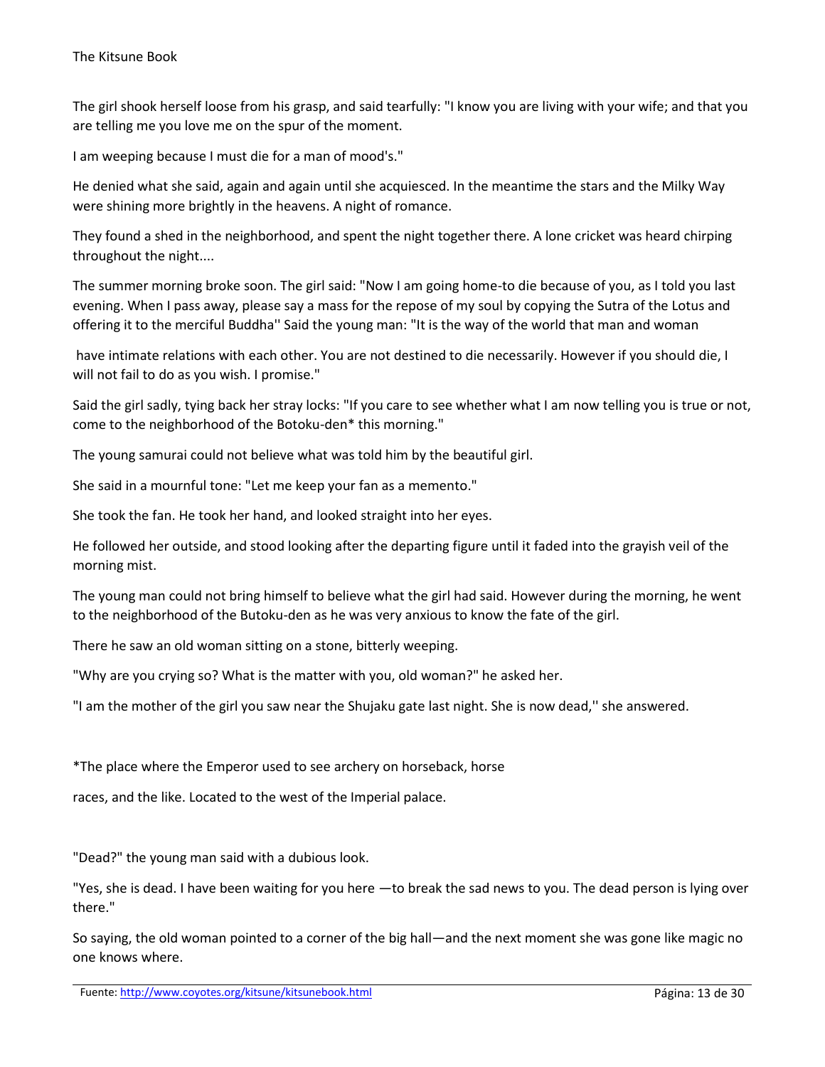The girl shook herself loose from his grasp, and said tearfully: "I know you are living with your wife; and that you are telling me you love me on the spur of the moment.

I am weeping because I must die for a man of mood's."

He denied what she said, again and again until she acquiesced. In the meantime the stars and the Milky Way were shining more brightly in the heavens. A night of romance.

They found a shed in the neighborhood, and spent the night together there. A lone cricket was heard chirping throughout the night....

The summer morning broke soon. The girl said: "Now I am going home-to die because of you, as I told you last evening. When I pass away, please say a mass for the repose of my soul by copying the Sutra of the Lotus and offering it to the merciful Buddha'' Said the young man: "It is the way of the world that man and woman

have intimate relations with each other. You are not destined to die necessarily. However if you should die, I will not fail to do as you wish. I promise."

Said the girl sadly, tying back her stray locks: "If you care to see whether what I am now telling you is true or not, come to the neighborhood of the Botoku-den\* this morning."

The young samurai could not believe what was told him by the beautiful girl.

She said in a mournful tone: "Let me keep your fan as a memento."

She took the fan. He took her hand, and looked straight into her eyes.

He followed her outside, and stood looking after the departing figure until it faded into the grayish veil of the morning mist.

The young man could not bring himself to believe what the girl had said. However during the morning, he went to the neighborhood of the Butoku-den as he was very anxious to know the fate of the girl.

There he saw an old woman sitting on a stone, bitterly weeping.

"Why are you crying so? What is the matter with you, old woman?" he asked her.

"I am the mother of the girl you saw near the Shujaku gate last night. She is now dead,'' she answered.

\*The place where the Emperor used to see archery on horseback, horse

races, and the like. Located to the west of the Imperial palace.

"Dead?" the young man said with a dubious look.

"Yes, she is dead. I have been waiting for you here —to break the sad news to you. The dead person is lying over there."

So saying, the old woman pointed to a corner of the big hall—and the next moment she was gone like magic no one knows where.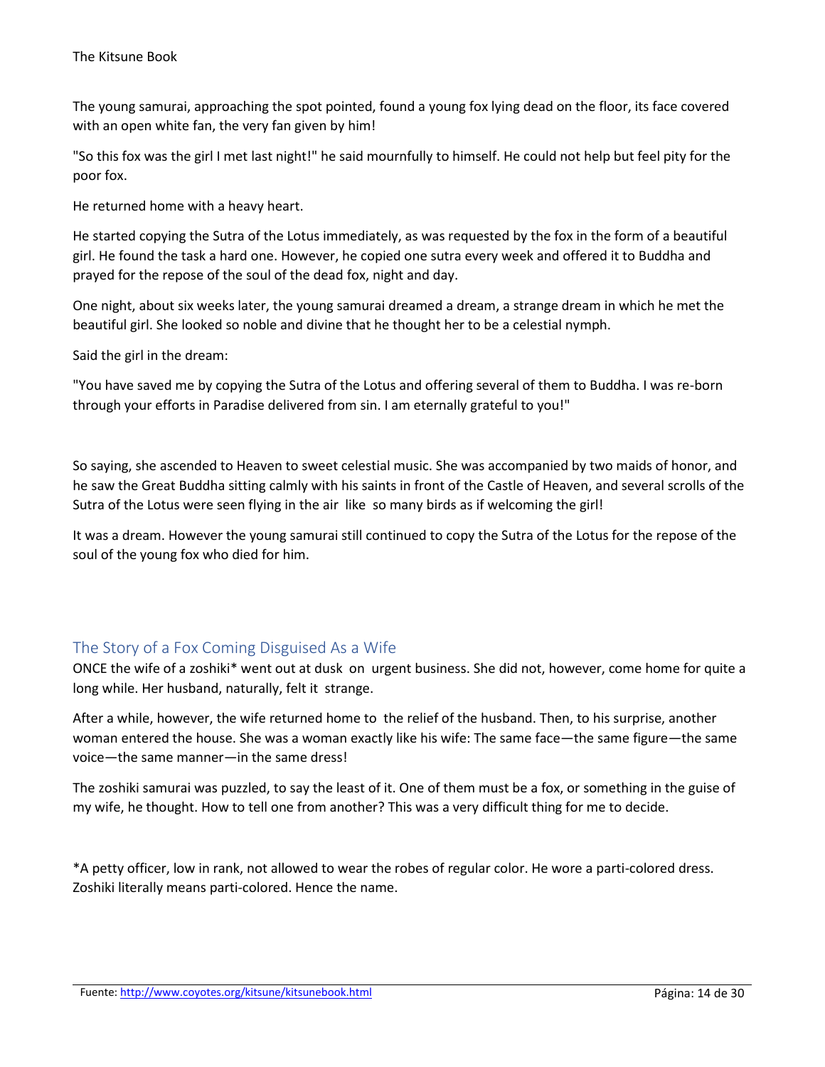The young samurai, approaching the spot pointed, found a young fox lying dead on the floor, its face covered with an open white fan, the very fan given by him!

"So this fox was the girl I met last night!" he said mournfully to himself. He could not help but feel pity for the poor fox.

He returned home with a heavy heart.

He started copying the Sutra of the Lotus immediately, as was requested by the fox in the form of a beautiful girl. He found the task a hard one. However, he copied one sutra every week and offered it to Buddha and prayed for the repose of the soul of the dead fox, night and day.

One night, about six weeks later, the young samurai dreamed a dream, a strange dream in which he met the beautiful girl. She looked so noble and divine that he thought her to be a celestial nymph.

Said the girl in the dream:

"You have saved me by copying the Sutra of the Lotus and offering several of them to Buddha. I was re-born through your efforts in Paradise delivered from sin. I am eternally grateful to you!"

So saying, she ascended to Heaven to sweet celestial music. She was accompanied by two maids of honor, and he saw the Great Buddha sitting calmly with his saints in front of the Castle of Heaven, and several scrolls of the Sutra of the Lotus were seen flying in the air like so many birds as if welcoming the girl!

It was a dream. However the young samurai still continued to copy the Sutra of the Lotus for the repose of the soul of the young fox who died for him.

### <span id="page-13-0"></span>The Story of a Fox Coming Disguised As a Wife

ONCE the wife of a zoshiki\* went out at dusk on urgent business. She did not, however, come home for quite a long while. Her husband, naturally, felt it strange.

After a while, however, the wife returned home to the relief of the husband. Then, to his surprise, another woman entered the house. She was a woman exactly like his wife: The same face—the same figure—the same voice—the same manner—in the same dress!

The zoshiki samurai was puzzled, to say the least of it. One of them must be a fox, or something in the guise of my wife, he thought. How to tell one from another? This was a very difficult thing for me to decide.

\*A petty officer, low in rank, not allowed to wear the robes of regular color. He wore a parti-colored dress. Zoshiki literally means parti-colored. Hence the name.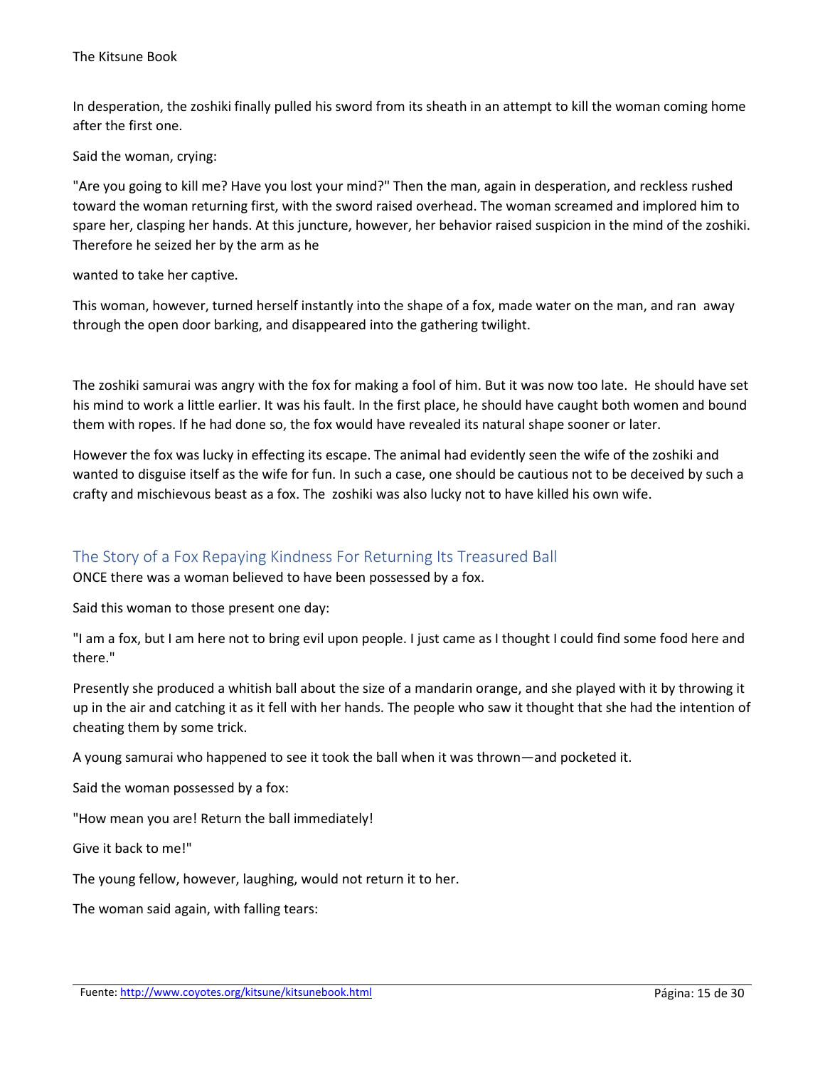#### The Kitsune Book

In desperation, the zoshiki finally pulled his sword from its sheath in an attempt to kill the woman coming home after the first one.

Said the woman, crying:

"Are you going to kill me? Have you lost your mind?" Then the man, again in desperation, and reckless rushed toward the woman returning first, with the sword raised overhead. The woman screamed and implored him to spare her, clasping her hands. At this juncture, however, her behavior raised suspicion in the mind of the zoshiki. Therefore he seized her by the arm as he

wanted to take her captive.

This woman, however, turned herself instantly into the shape of a fox, made water on the man, and ran away through the open door barking, and disappeared into the gathering twilight.

The zoshiki samurai was angry with the fox for making a fool of him. But it was now too late. He should have set his mind to work a little earlier. It was his fault. In the first place, he should have caught both women and bound them with ropes. If he had done so, the fox would have revealed its natural shape sooner or later.

However the fox was lucky in effecting its escape. The animal had evidently seen the wife of the zoshiki and wanted to disguise itself as the wife for fun. In such a case, one should be cautious not to be deceived by such a crafty and mischievous beast as a fox. The zoshiki was also lucky not to have killed his own wife.

### <span id="page-14-0"></span>The Story of a Fox Repaying Kindness For Returning Its Treasured Ball

ONCE there was a woman believed to have been possessed by a fox.

Said this woman to those present one day:

"I am a fox, but I am here not to bring evil upon people. I just came as I thought I could find some food here and there."

Presently she produced a whitish ball about the size of a mandarin orange, and she played with it by throwing it up in the air and catching it as it fell with her hands. The people who saw it thought that she had the intention of cheating them by some trick.

A young samurai who happened to see it took the ball when it was thrown—and pocketed it.

Said the woman possessed by a fox:

"How mean you are! Return the ball immediately!

Give it back to me!"

The young fellow, however, laughing, would not return it to her.

The woman said again, with falling tears: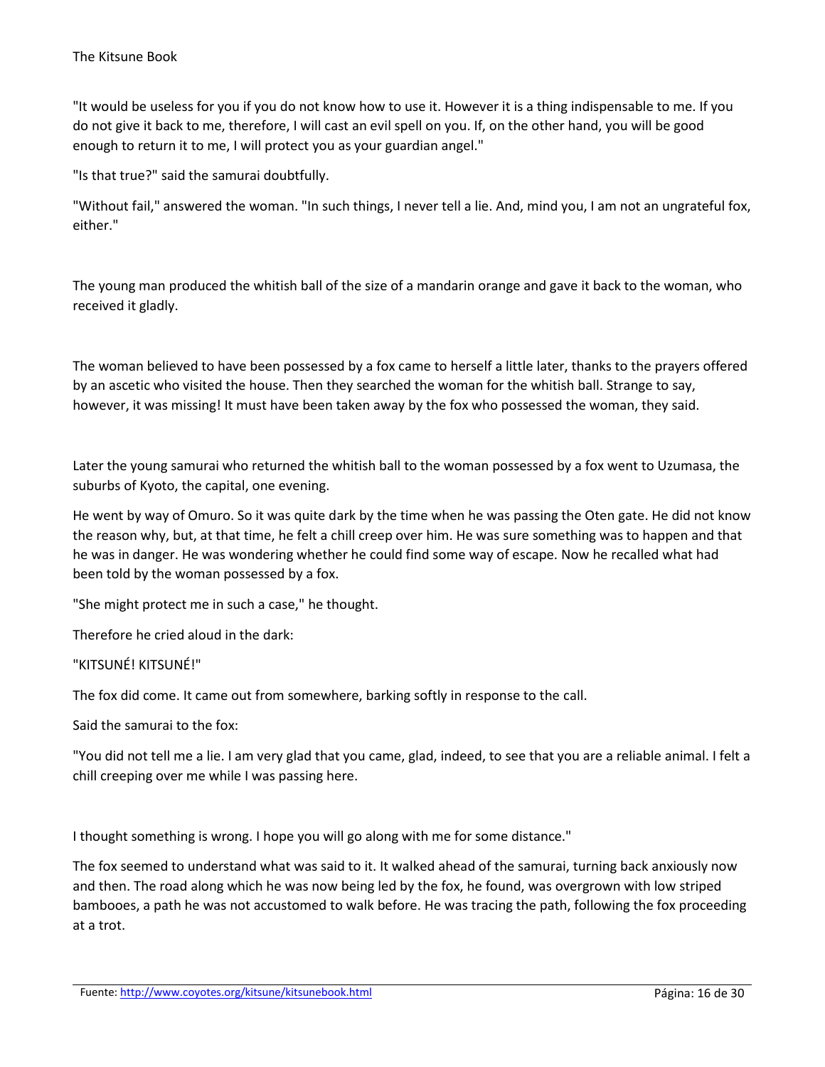"It would be useless for you if you do not know how to use it. However it is a thing indispensable to me. If you do not give it back to me, therefore, I will cast an evil spell on you. If, on the other hand, you will be good enough to return it to me, I will protect you as your guardian angel."

"Is that true?" said the samurai doubtfully.

"Without fail," answered the woman. "In such things, I never tell a lie. And, mind you, I am not an ungrateful fox, either."

The young man produced the whitish ball of the size of a mandarin orange and gave it back to the woman, who received it gladly.

The woman believed to have been possessed by a fox came to herself a little later, thanks to the prayers offered by an ascetic who visited the house. Then they searched the woman for the whitish ball. Strange to say, however, it was missing! It must have been taken away by the fox who possessed the woman, they said.

Later the young samurai who returned the whitish ball to the woman possessed by a fox went to Uzumasa, the suburbs of Kyoto, the capital, one evening.

He went by way of Omuro. So it was quite dark by the time when he was passing the Oten gate. He did not know the reason why, but, at that time, he felt a chill creep over him. He was sure something was to happen and that he was in danger. He was wondering whether he could find some way of escape. Now he recalled what had been told by the woman possessed by a fox.

"She might protect me in such a case," he thought.

Therefore he cried aloud in the dark:

#### "KITSUNÉ! KITSUNÉ!"

The fox did come. It came out from somewhere, barking softly in response to the call.

Said the samurai to the fox:

"You did not tell me a lie. I am very glad that you came, glad, indeed, to see that you are a reliable animal. I felt a chill creeping over me while I was passing here.

I thought something is wrong. I hope you will go along with me for some distance."

The fox seemed to understand what was said to it. It walked ahead of the samurai, turning back anxiously now and then. The road along which he was now being led by the fox, he found, was overgrown with low striped bambooes, a path he was not accustomed to walk before. He was tracing the path, following the fox proceeding at a trot.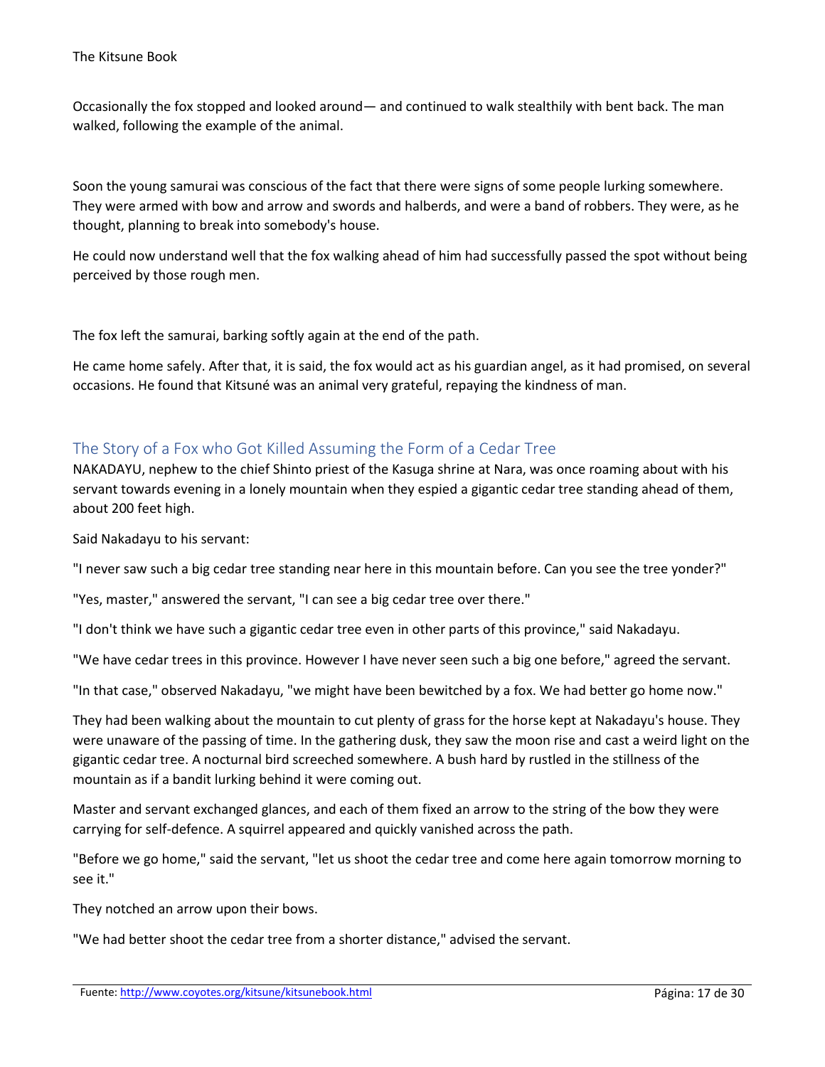Occasionally the fox stopped and looked around— and continued to walk stealthily with bent back. The man walked, following the example of the animal.

Soon the young samurai was conscious of the fact that there were signs of some people lurking somewhere. They were armed with bow and arrow and swords and halberds, and were a band of robbers. They were, as he thought, planning to break into somebody's house.

He could now understand well that the fox walking ahead of him had successfully passed the spot without being perceived by those rough men.

The fox left the samurai, barking softly again at the end of the path.

He came home safely. After that, it is said, the fox would act as his guardian angel, as it had promised, on several occasions. He found that Kitsuné was an animal very grateful, repaying the kindness of man.

### <span id="page-16-0"></span>The Story of a Fox who Got Killed Assuming the Form of a Cedar Tree

NAKADAYU, nephew to the chief Shinto priest of the Kasuga shrine at Nara, was once roaming about with his servant towards evening in a lonely mountain when they espied a gigantic cedar tree standing ahead of them, about 200 feet high.

Said Nakadayu to his servant:

"I never saw such a big cedar tree standing near here in this mountain before. Can you see the tree yonder?"

"Yes, master," answered the servant, "I can see a big cedar tree over there."

"I don't think we have such a gigantic cedar tree even in other parts of this province," said Nakadayu.

"We have cedar trees in this province. However I have never seen such a big one before," agreed the servant.

"In that case," observed Nakadayu, "we might have been bewitched by a fox. We had better go home now."

They had been walking about the mountain to cut plenty of grass for the horse kept at Nakadayu's house. They were unaware of the passing of time. In the gathering dusk, they saw the moon rise and cast a weird light on the gigantic cedar tree. A nocturnal bird screeched somewhere. A bush hard by rustled in the stillness of the mountain as if a bandit lurking behind it were coming out.

Master and servant exchanged glances, and each of them fixed an arrow to the string of the bow they were carrying for self-defence. A squirrel appeared and quickly vanished across the path.

"Before we go home," said the servant, "let us shoot the cedar tree and come here again tomorrow morning to see it."

They notched an arrow upon their bows.

"We had better shoot the cedar tree from a shorter distance," advised the servant.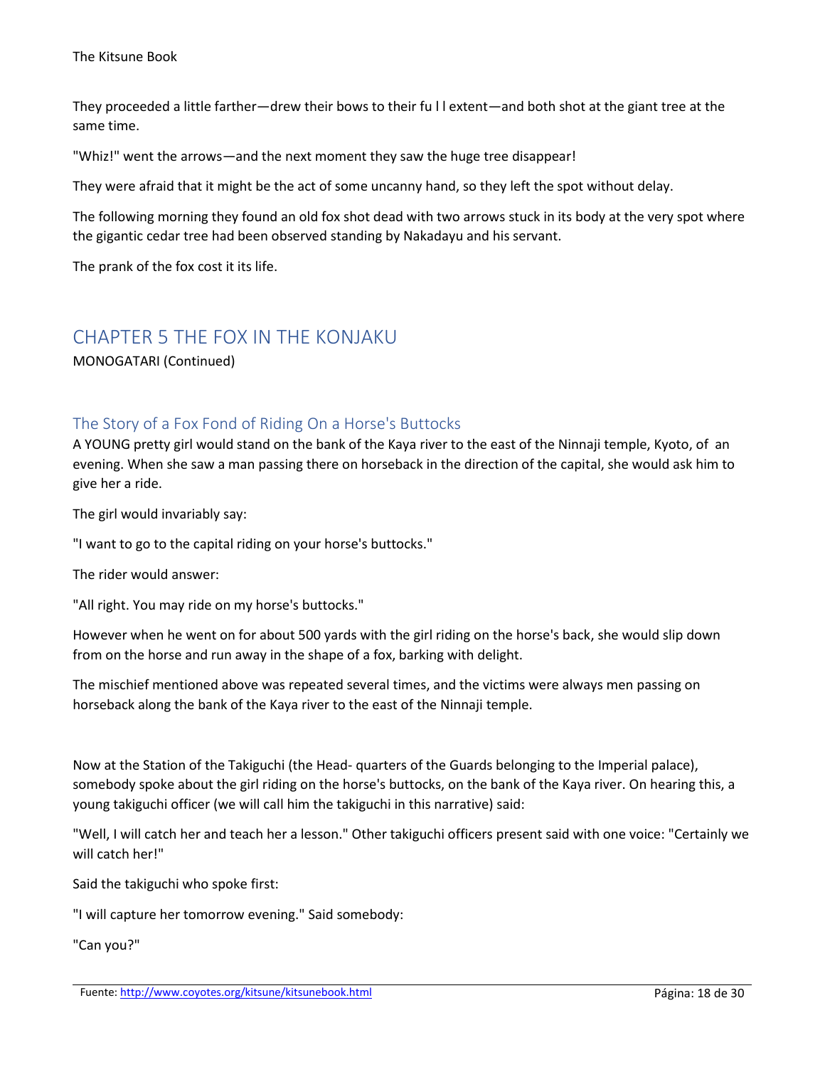They proceeded a little farther—drew their bows to their fu l l extent—and both shot at the giant tree at the same time.

"Whiz!" went the arrows—and the next moment they saw the huge tree disappear!

They were afraid that it might be the act of some uncanny hand, so they left the spot without delay.

The following morning they found an old fox shot dead with two arrows stuck in its body at the very spot where the gigantic cedar tree had been observed standing by Nakadayu and his servant.

The prank of the fox cost it its life.

## <span id="page-17-0"></span>CHAPTER 5 THE FOX IN THE KONJAKU

MONOGATARI (Continued)

### <span id="page-17-1"></span>The Story of a Fox Fond of Riding On a Horse's Buttocks

A YOUNG pretty girl would stand on the bank of the Kaya river to the east of the Ninnaji temple, Kyoto, of an evening. When she saw a man passing there on horseback in the direction of the capital, she would ask him to give her a ride.

The girl would invariably say:

"I want to go to the capital riding on your horse's buttocks."

The rider would answer:

"All right. You may ride on my horse's buttocks."

However when he went on for about 500 yards with the girl riding on the horse's back, she would slip down from on the horse and run away in the shape of a fox, barking with delight.

The mischief mentioned above was repeated several times, and the victims were always men passing on horseback along the bank of the Kaya river to the east of the Ninnaji temple.

Now at the Station of the Takiguchi (the Head- quarters of the Guards belonging to the Imperial palace), somebody spoke about the girl riding on the horse's buttocks, on the bank of the Kaya river. On hearing this, a young takiguchi officer (we will call him the takiguchi in this narrative) said:

"Well, I will catch her and teach her a lesson." Other takiguchi officers present said with one voice: "Certainly we will catch her!"

Said the takiguchi who spoke first:

"I will capture her tomorrow evening." Said somebody:

"Can you?"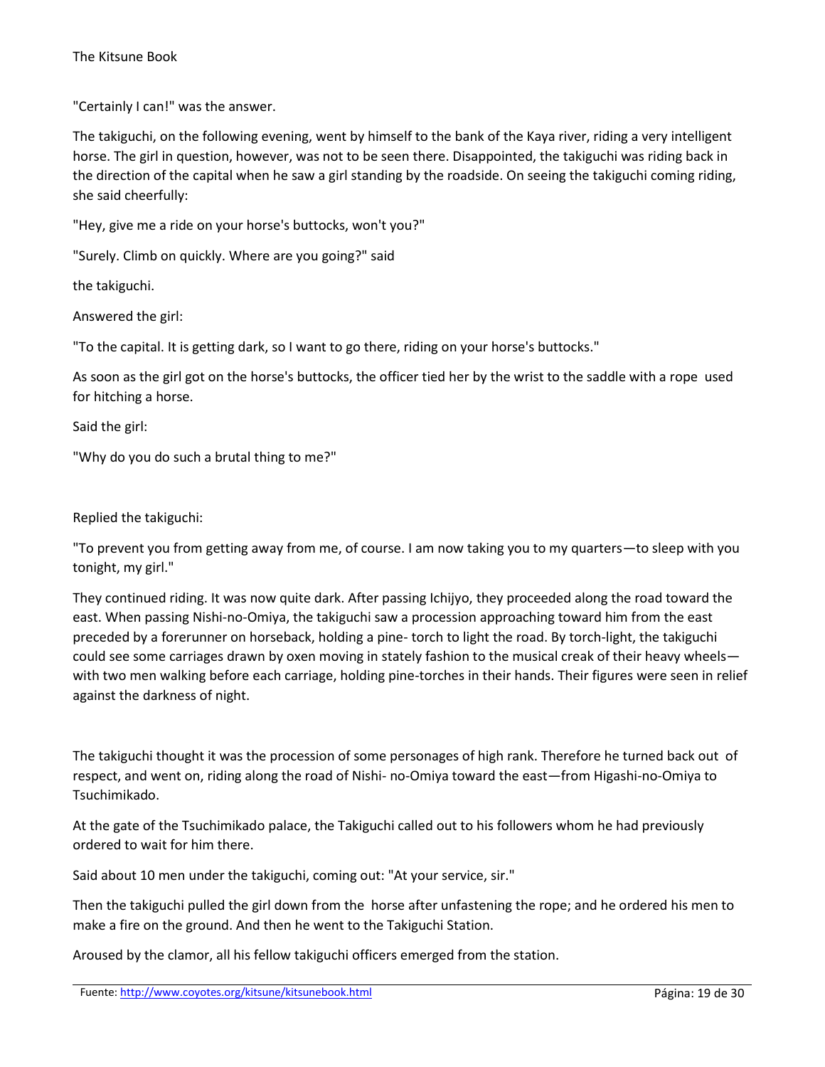"Certainly I can!" was the answer.

The takiguchi, on the following evening, went by himself to the bank of the Kaya river, riding a very intelligent horse. The girl in question, however, was not to be seen there. Disappointed, the takiguchi was riding back in the direction of the capital when he saw a girl standing by the roadside. On seeing the takiguchi coming riding, she said cheerfully:

"Hey, give me a ride on your horse's buttocks, won't you?"

"Surely. Climb on quickly. Where are you going?" said

the takiguchi.

Answered the girl:

"To the capital. It is getting dark, so I want to go there, riding on your horse's buttocks."

As soon as the girl got on the horse's buttocks, the officer tied her by the wrist to the saddle with a rope used for hitching a horse.

Said the girl:

"Why do you do such a brutal thing to me?"

Replied the takiguchi:

"To prevent you from getting away from me, of course. I am now taking you to my quarters—to sleep with you tonight, my girl."

They continued riding. It was now quite dark. After passing Ichijyo, they proceeded along the road toward the east. When passing Nishi-no-Omiya, the takiguchi saw a procession approaching toward him from the east preceded by a forerunner on horseback, holding a pine- torch to light the road. By torch-light, the takiguchi could see some carriages drawn by oxen moving in stately fashion to the musical creak of their heavy wheels with two men walking before each carriage, holding pine-torches in their hands. Their figures were seen in relief against the darkness of night.

The takiguchi thought it was the procession of some personages of high rank. Therefore he turned back out of respect, and went on, riding along the road of Nishi- no-Omiya toward the east—from Higashi-no-Omiya to Tsuchimikado.

At the gate of the Tsuchimikado palace, the Takiguchi called out to his followers whom he had previously ordered to wait for him there.

Said about 10 men under the takiguchi, coming out: "At your service, sir."

Then the takiguchi pulled the girl down from the horse after unfastening the rope; and he ordered his men to make a fire on the ground. And then he went to the Takiguchi Station.

Aroused by the clamor, all his fellow takiguchi officers emerged from the station.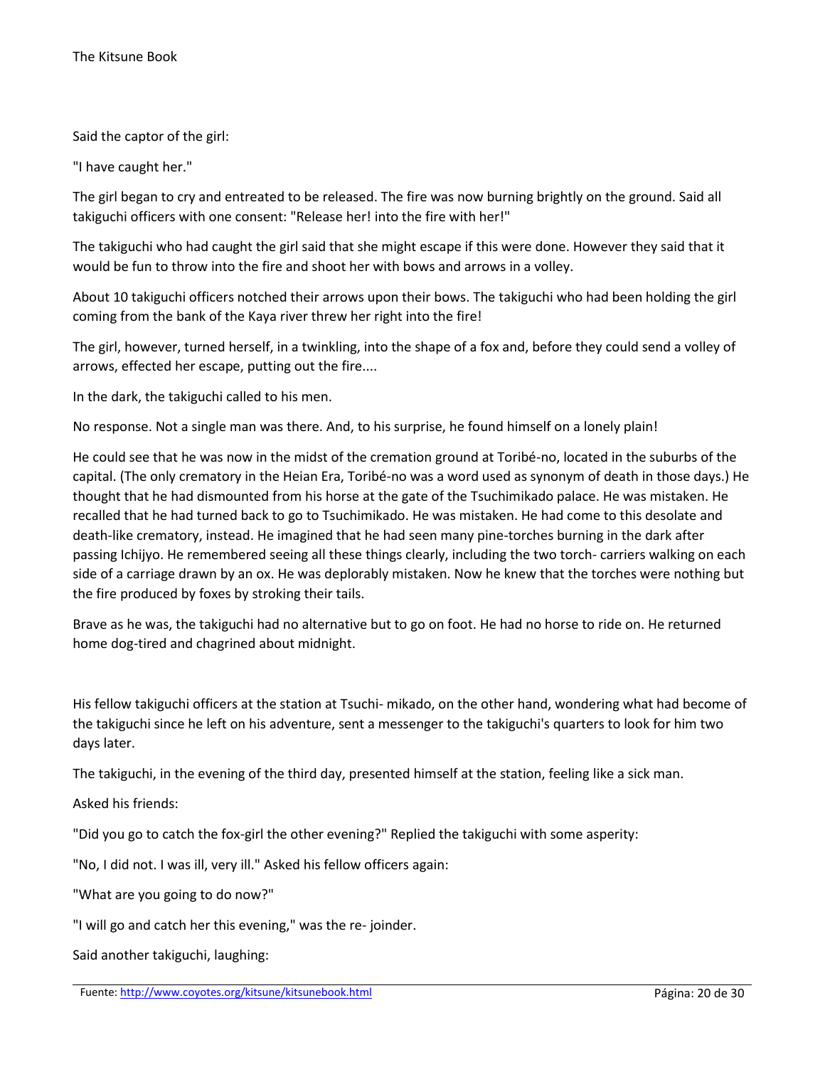Said the captor of the girl:

"I have caught her."

The girl began to cry and entreated to be released. The fire was now burning brightly on the ground. Said all takiguchi officers with one consent: "Release her! into the fire with her!"

The takiguchi who had caught the girl said that she might escape if this were done. However they said that it would be fun to throw into the fire and shoot her with bows and arrows in a volley.

About 10 takiguchi officers notched their arrows upon their bows. The takiguchi who had been holding the girl coming from the bank of the Kaya river threw her right into the fire!

The girl, however, turned herself, in a twinkling, into the shape of a fox and, before they could send a volley of arrows, effected her escape, putting out the fire....

In the dark, the takiguchi called to his men.

No response. Not a single man was there. And, to his surprise, he found himself on a lonely plain!

He could see that he was now in the midst of the cremation ground at Toribé-no, located in the suburbs of the capital. (The only crematory in the Heian Era, Toribé-no was a word used as synonym of death in those days.) He thought that he had dismounted from his horse at the gate of the Tsuchimikado palace. He was mistaken. He recalled that he had turned back to go to Tsuchimikado. He was mistaken. He had come to this desolate and death-like crematory, instead. He imagined that he had seen many pine-torches burning in the dark after passing Ichijyo. He remembered seeing all these things clearly, including the two torch- carriers walking on each side of a carriage drawn by an ox. He was deplorably mistaken. Now he knew that the torches were nothing but the fire produced by foxes by stroking their tails.

Brave as he was, the takiguchi had no alternative but to go on foot. He had no horse to ride on. He returned home dog-tired and chagrined about midnight.

His fellow takiguchi officers at the station at Tsuchi- mikado, on the other hand, wondering what had become of the takiguchi since he left on his adventure, sent a messenger to the takiguchi's quarters to look for him two days later.

The takiguchi, in the evening of the third day, presented himself at the station, feeling like a sick man.

Asked his friends:

"Did you go to catch the fox-girl the other evening?" Replied the takiguchi with some asperity:

"No, I did not. I was ill, very ill." Asked his fellow officers again:

"What are you going to do now?"

"I will go and catch her this evening," was the re- joinder.

Said another takiguchi, laughing:

Fuente: <http://www.coyotes.org/kitsune/kitsunebook.html> **Página: 20 de 30**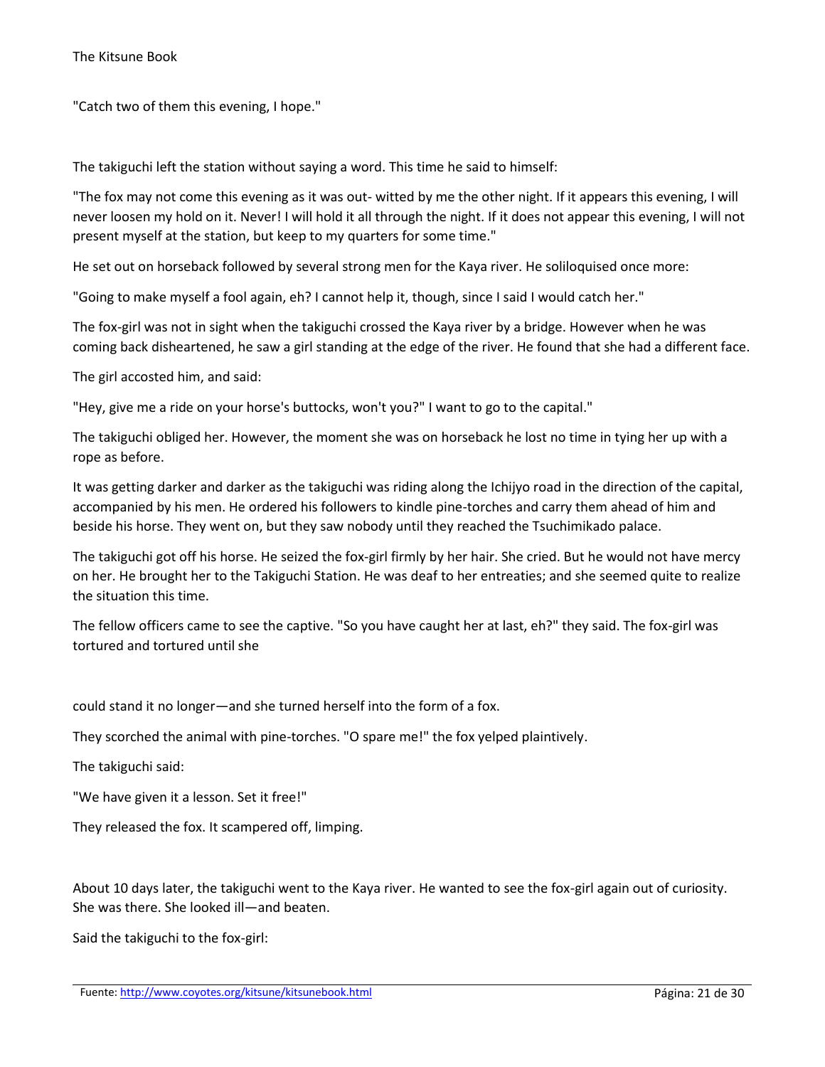"Catch two of them this evening, I hope."

The takiguchi left the station without saying a word. This time he said to himself:

"The fox may not come this evening as it was out- witted by me the other night. If it appears this evening, I will never loosen my hold on it. Never! I will hold it all through the night. If it does not appear this evening, I will not present myself at the station, but keep to my quarters for some time."

He set out on horseback followed by several strong men for the Kaya river. He soliloquised once more:

"Going to make myself a fool again, eh? I cannot help it, though, since I said I would catch her."

The fox-girl was not in sight when the takiguchi crossed the Kaya river by a bridge. However when he was coming back disheartened, he saw a girl standing at the edge of the river. He found that she had a different face.

The girl accosted him, and said:

"Hey, give me a ride on your horse's buttocks, won't you?" I want to go to the capital."

The takiguchi obliged her. However, the moment she was on horseback he lost no time in tying her up with a rope as before.

It was getting darker and darker as the takiguchi was riding along the Ichijyo road in the direction of the capital, accompanied by his men. He ordered his followers to kindle pine-torches and carry them ahead of him and beside his horse. They went on, but they saw nobody until they reached the Tsuchimikado palace.

The takiguchi got off his horse. He seized the fox-girl firmly by her hair. She cried. But he would not have mercy on her. He brought her to the Takiguchi Station. He was deaf to her entreaties; and she seemed quite to realize the situation this time.

The fellow officers came to see the captive. "So you have caught her at last, eh?" they said. The fox-girl was tortured and tortured until she

could stand it no longer—and she turned herself into the form of a fox.

They scorched the animal with pine-torches. "O spare me!" the fox yelped plaintively.

The takiguchi said:

"We have given it a lesson. Set it free!"

They released the fox. It scampered off, limping.

About 10 days later, the takiguchi went to the Kaya river. He wanted to see the fox-girl again out of curiosity. She was there. She looked ill—and beaten.

Said the takiguchi to the fox-girl:

Fuente: <http://www.coyotes.org/kitsune/kitsunebook.html> **Página: 21 de 30**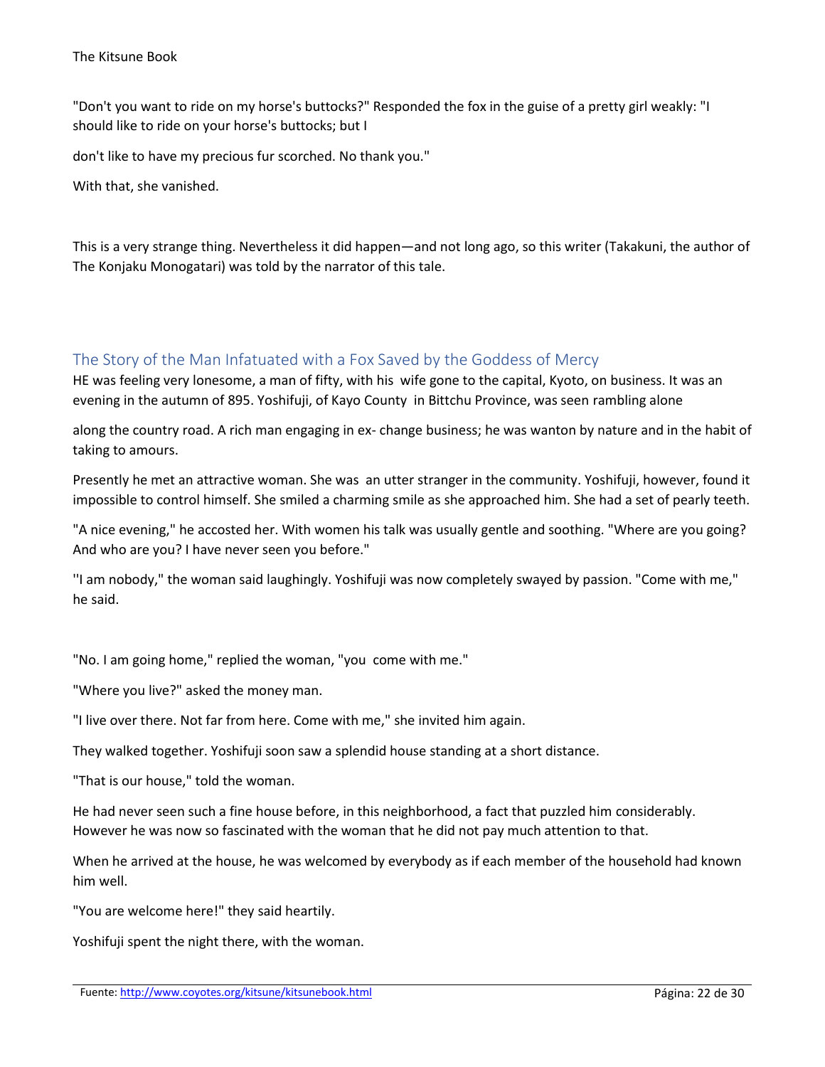"Don't you want to ride on my horse's buttocks?" Responded the fox in the guise of a pretty girl weakly: "I should like to ride on your horse's buttocks; but I

don't like to have my precious fur scorched. No thank you."

With that, she vanished.

This is a very strange thing. Nevertheless it did happen—and not long ago, so this writer (Takakuni, the author of The Konjaku Monogatari) was told by the narrator of this tale.

### <span id="page-21-0"></span>The Story of the Man Infatuated with a Fox Saved by the Goddess of Mercy

HE was feeling very lonesome, a man of fifty, with his wife gone to the capital, Kyoto, on business. It was an evening in the autumn of 895. Yoshifuji, of Kayo County in Bittchu Province, was seen rambling alone

along the country road. A rich man engaging in ex- change business; he was wanton by nature and in the habit of taking to amours.

Presently he met an attractive woman. She was an utter stranger in the community. Yoshifuji, however, found it impossible to control himself. She smiled a charming smile as she approached him. She had a set of pearly teeth.

"A nice evening," he accosted her. With women his talk was usually gentle and soothing. "Where are you going? And who are you? I have never seen you before."

''I am nobody," the woman said laughingly. Yoshifuji was now completely swayed by passion. "Come with me," he said.

"No. I am going home," replied the woman, "you come with me."

"Where you live?" asked the money man.

"I live over there. Not far from here. Come with me," she invited him again.

They walked together. Yoshifuji soon saw a splendid house standing at a short distance.

"That is our house," told the woman.

He had never seen such a fine house before, in this neighborhood, a fact that puzzled him considerably. However he was now so fascinated with the woman that he did not pay much attention to that.

When he arrived at the house, he was welcomed by everybody as if each member of the household had known him well.

"You are welcome here!" they said heartily.

Yoshifuji spent the night there, with the woman.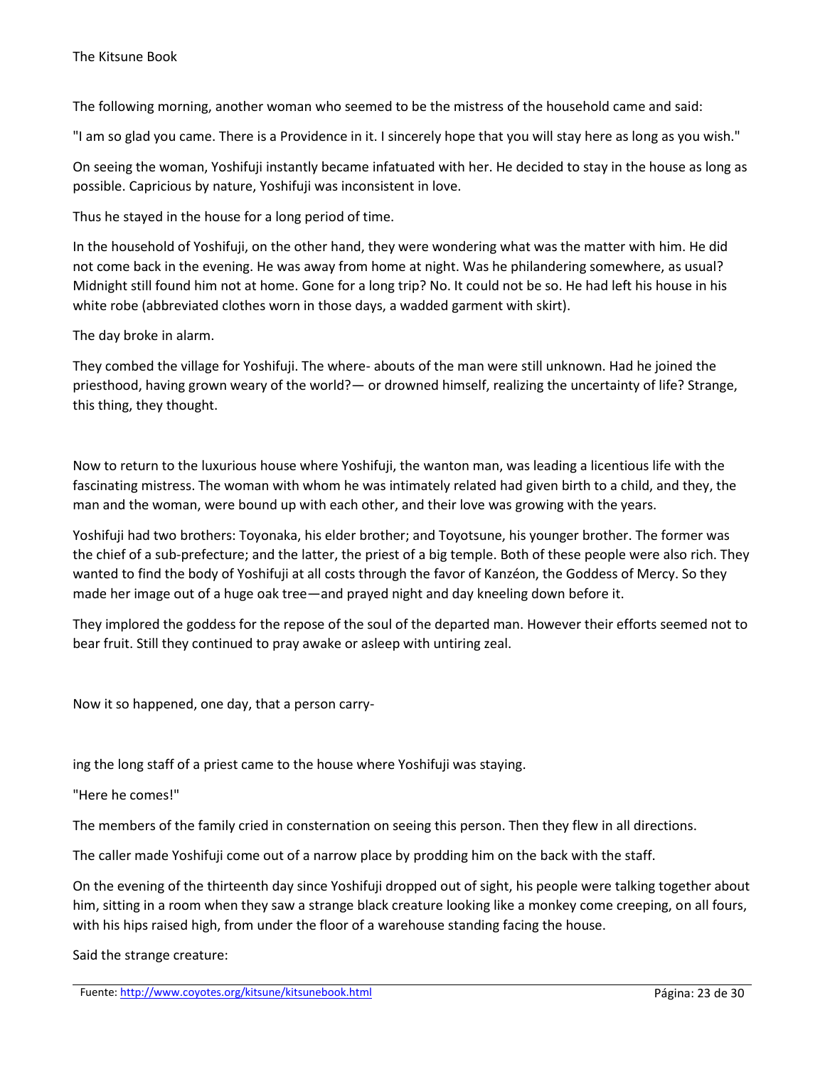The following morning, another woman who seemed to be the mistress of the household came and said:

"I am so glad you came. There is a Providence in it. I sincerely hope that you will stay here as long as you wish."

On seeing the woman, Yoshifuji instantly became infatuated with her. He decided to stay in the house as long as possible. Capricious by nature, Yoshifuji was inconsistent in love.

Thus he stayed in the house for a long period of time.

In the household of Yoshifuji, on the other hand, they were wondering what was the matter with him. He did not come back in the evening. He was away from home at night. Was he philandering somewhere, as usual? Midnight still found him not at home. Gone for a long trip? No. It could not be so. He had left his house in his white robe (abbreviated clothes worn in those days, a wadded garment with skirt).

The day broke in alarm.

They combed the village for Yoshifuji. The where- abouts of the man were still unknown. Had he joined the priesthood, having grown weary of the world?— or drowned himself, realizing the uncertainty of life? Strange, this thing, they thought.

Now to return to the luxurious house where Yoshifuji, the wanton man, was leading a licentious life with the fascinating mistress. The woman with whom he was intimately related had given birth to a child, and they, the man and the woman, were bound up with each other, and their love was growing with the years.

Yoshifuji had two brothers: Toyonaka, his elder brother; and Toyotsune, his younger brother. The former was the chief of a sub-prefecture; and the latter, the priest of a big temple. Both of these people were also rich. They wanted to find the body of Yoshifuji at all costs through the favor of Kanzéon, the Goddess of Mercy. So they made her image out of a huge oak tree—and prayed night and day kneeling down before it.

They implored the goddess for the repose of the soul of the departed man. However their efforts seemed not to bear fruit. Still they continued to pray awake or asleep with untiring zeal.

Now it so happened, one day, that a person carry-

ing the long staff of a priest came to the house where Yoshifuji was staying.

"Here he comes!"

The members of the family cried in consternation on seeing this person. Then they flew in all directions.

The caller made Yoshifuji come out of a narrow place by prodding him on the back with the staff.

On the evening of the thirteenth day since Yoshifuji dropped out of sight, his people were talking together about him, sitting in a room when they saw a strange black creature looking like a monkey come creeping, on all fours, with his hips raised high, from under the floor of a warehouse standing facing the house.

Said the strange creature:

Fuente: <http://www.coyotes.org/kitsune/kitsunebook.html> **Página: 23 de 30**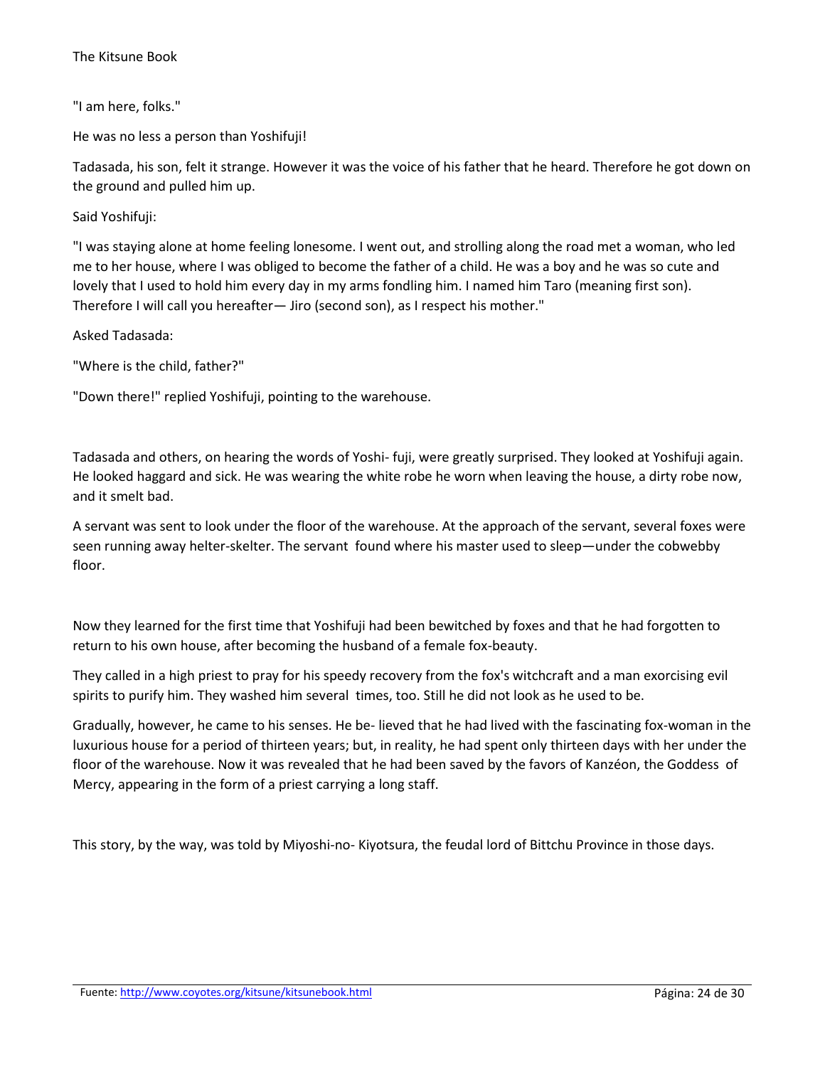The Kitsune Book

"I am here, folks."

He was no less a person than Yoshifuji!

Tadasada, his son, felt it strange. However it was the voice of his father that he heard. Therefore he got down on the ground and pulled him up.

Said Yoshifuji:

"I was staying alone at home feeling lonesome. I went out, and strolling along the road met a woman, who led me to her house, where I was obliged to become the father of a child. He was a boy and he was so cute and lovely that I used to hold him every day in my arms fondling him. I named him Taro (meaning first son). Therefore I will call you hereafter— Jiro (second son), as I respect his mother."

Asked Tadasada:

"Where is the child, father?"

"Down there!" replied Yoshifuji, pointing to the warehouse.

Tadasada and others, on hearing the words of Yoshi- fuji, were greatly surprised. They looked at Yoshifuji again. He looked haggard and sick. He was wearing the white robe he worn when leaving the house, a dirty robe now, and it smelt bad.

A servant was sent to look under the floor of the warehouse. At the approach of the servant, several foxes were seen running away helter-skelter. The servant found where his master used to sleep—under the cobwebby floor.

Now they learned for the first time that Yoshifuji had been bewitched by foxes and that he had forgotten to return to his own house, after becoming the husband of a female fox-beauty.

They called in a high priest to pray for his speedy recovery from the fox's witchcraft and a man exorcising evil spirits to purify him. They washed him several times, too. Still he did not look as he used to be.

Gradually, however, he came to his senses. He be- lieved that he had lived with the fascinating fox-woman in the luxurious house for a period of thirteen years; but, in reality, he had spent only thirteen days with her under the floor of the warehouse. Now it was revealed that he had been saved by the favors of Kanzéon, the Goddess of Mercy, appearing in the form of a priest carrying a long staff.

This story, by the way, was told by Miyoshi-no- Kiyotsura, the feudal lord of Bittchu Province in those days.

Fuente: <http://www.coyotes.org/kitsune/kitsunebook.html> example and the set of the 20 de 30 and Página: 24 de 30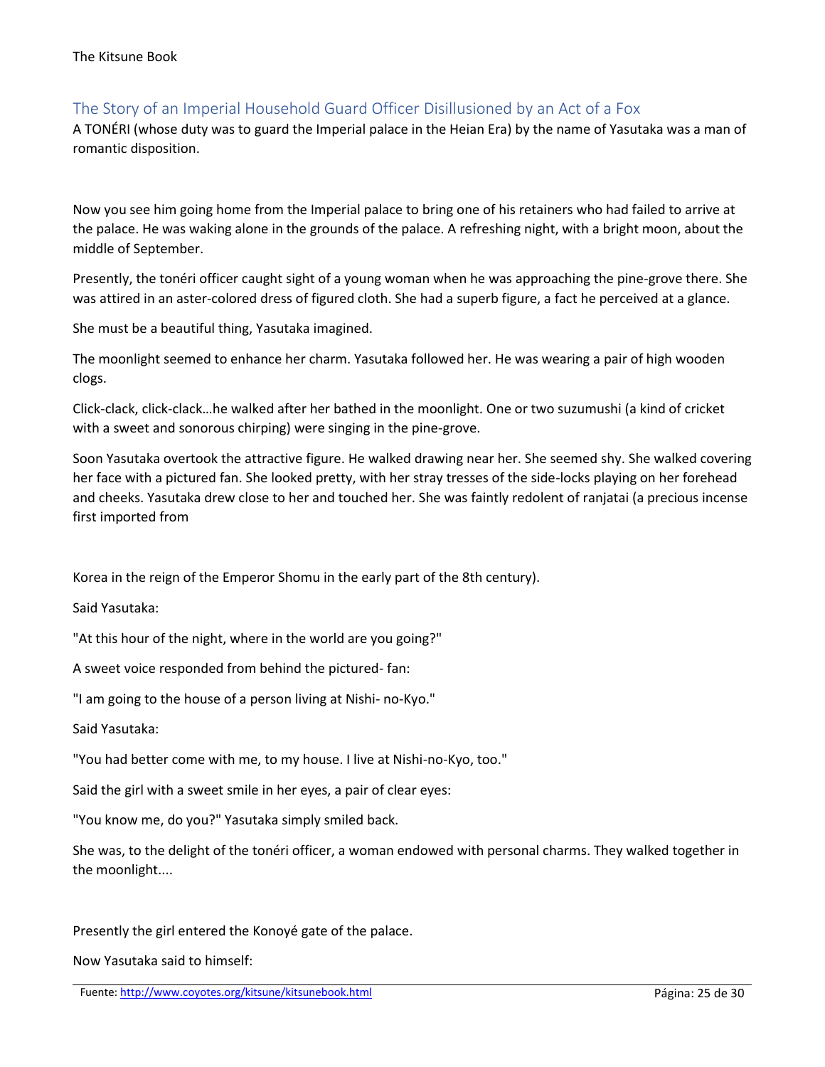## <span id="page-24-0"></span>The Story of an Imperial Household Guard Officer Disillusioned by an Act of a Fox

A TONÉRI (whose duty was to guard the Imperial palace in the Heian Era) by the name of Yasutaka was a man of romantic disposition.

Now you see him going home from the Imperial palace to bring one of his retainers who had failed to arrive at the palace. He was waking alone in the grounds of the palace. A refreshing night, with a bright moon, about the middle of September.

Presently, the tonéri officer caught sight of a young woman when he was approaching the pine-grove there. She was attired in an aster-colored dress of figured cloth. She had a superb figure, a fact he perceived at a glance.

She must be a beautiful thing, Yasutaka imagined.

The moonlight seemed to enhance her charm. Yasutaka followed her. He was wearing a pair of high wooden clogs.

Click-clack, click-clack…he walked after her bathed in the moonlight. One or two suzumushi (a kind of cricket with a sweet and sonorous chirping) were singing in the pine-grove.

Soon Yasutaka overtook the attractive figure. He walked drawing near her. She seemed shy. She walked covering her face with a pictured fan. She looked pretty, with her stray tresses of the side-locks playing on her forehead and cheeks. Yasutaka drew close to her and touched her. She was faintly redolent of ranjatai (a precious incense first imported from

Korea in the reign of the Emperor Shomu in the early part of the 8th century).

Said Yasutaka:

"At this hour of the night, where in the world are you going?"

A sweet voice responded from behind the pictured- fan:

"I am going to the house of a person living at Nishi- no-Kyo."

Said Yasutaka:

"You had better come with me, to my house. I live at Nishi-no-Kyo, too."

Said the girl with a sweet smile in her eyes, a pair of clear eyes:

"You know me, do you?" Yasutaka simply smiled back.

She was, to the delight of the tonéri officer, a woman endowed with personal charms. They walked together in the moonlight....

Presently the girl entered the Konoyé gate of the palace.

Now Yasutaka said to himself: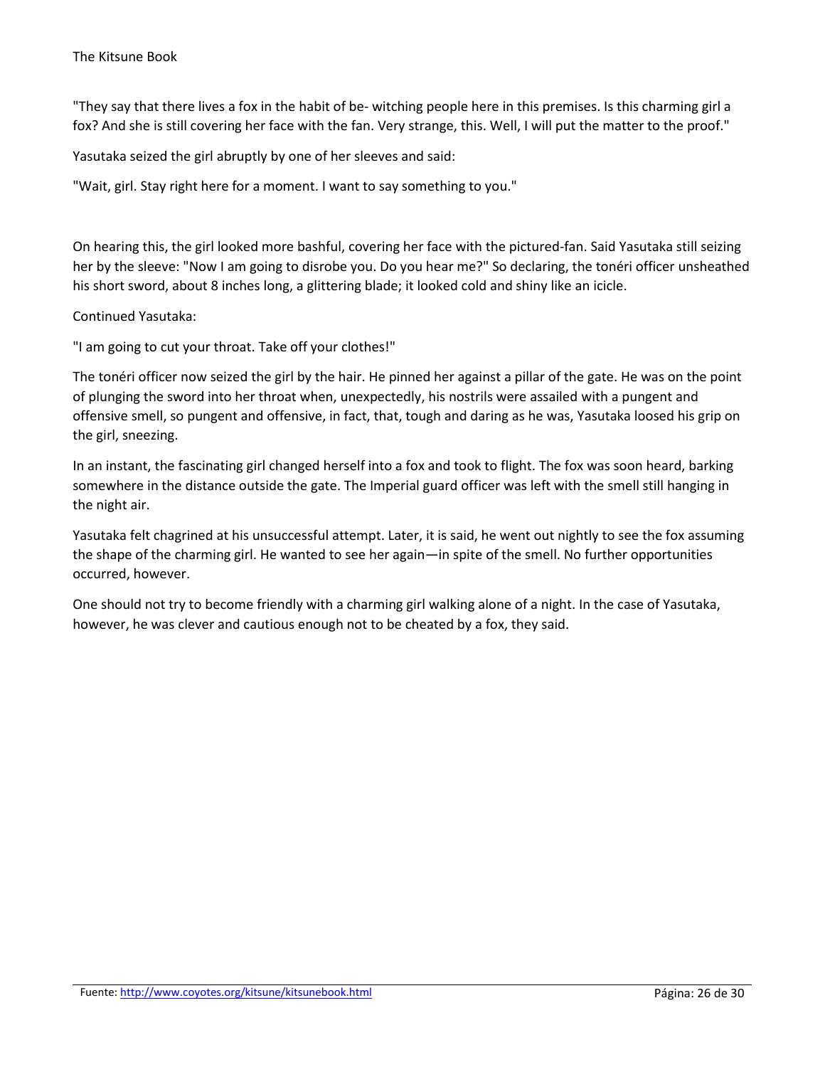"They say that there lives a fox in the habit of be- witching people here in this premises. Is this charming girl a fox? And she is still covering her face with the fan. Very strange, this. Well, I will put the matter to the proof."

Yasutaka seized the girl abruptly by one of her sleeves and said:

"Wait, girl. Stay right here for a moment. I want to say something to you."

On hearing this, the girl looked more bashful, covering her face with the pictured-fan. Said Yasutaka still seizing her by the sleeve: "Now I am going to disrobe you. Do you hear me?" So declaring, the tonéri officer unsheathed his short sword, about 8 inches long, a glittering blade; it looked cold and shiny like an icicle.

Continued Yasutaka:

"I am going to cut your throat. Take off your clothes!"

The tonéri officer now seized the girl by the hair. He pinned her against a pillar of the gate. He was on the point of plunging the sword into her throat when, unexpectedly, his nostrils were assailed with a pungent and offensive smell, so pungent and offensive, in fact, that, tough and daring as he was, Yasutaka loosed his grip on the girl, sneezing.

In an instant, the fascinating girl changed herself into a fox and took to flight. The fox was soon heard, barking somewhere in the distance outside the gate. The Imperial guard officer was left with the smell still hanging in the night air.

Yasutaka felt chagrined at his unsuccessful attempt. Later, it is said, he went out nightly to see the fox assuming the shape of the charming girl. He wanted to see her again—in spite of the smell. No further opportunities occurred, however.

One should not try to become friendly with a charming girl walking alone of a night. In the case of Yasutaka, however, he was clever and cautious enough not to be cheated by a fox, they said.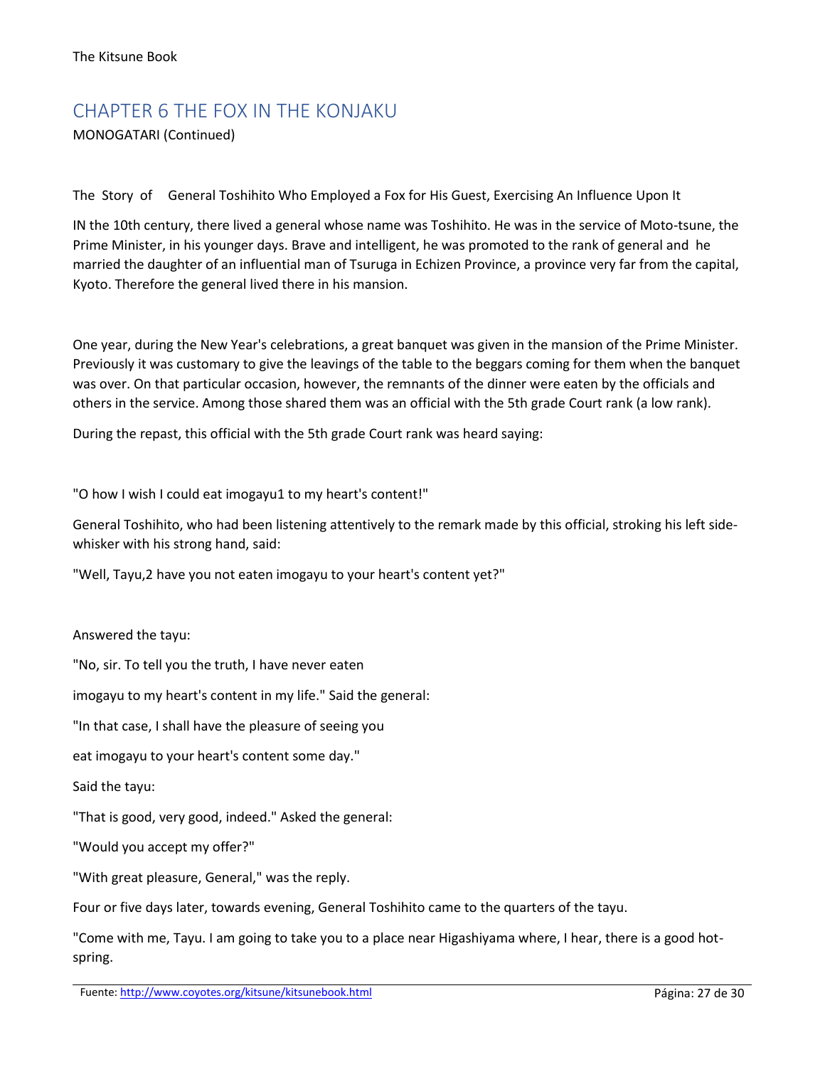## <span id="page-26-0"></span>CHAPTER 6 THE FOX IN THE KONJAKU

MONOGATARI (Continued)

The Story of General Toshihito Who Employed a Fox for His Guest, Exercising An Influence Upon It

IN the 10th century, there lived a general whose name was Toshihito. He was in the service of Moto-tsune, the Prime Minister, in his younger days. Brave and intelligent, he was promoted to the rank of general and he married the daughter of an influential man of Tsuruga in Echizen Province, a province very far from the capital, Kyoto. Therefore the general lived there in his mansion.

One year, during the New Year's celebrations, a great banquet was given in the mansion of the Prime Minister. Previously it was customary to give the leavings of the table to the beggars coming for them when the banquet was over. On that particular occasion, however, the remnants of the dinner were eaten by the officials and others in the service. Among those shared them was an official with the 5th grade Court rank (a low rank).

During the repast, this official with the 5th grade Court rank was heard saying:

"O how I wish I could eat imogayu1 to my heart's content!"

General Toshihito, who had been listening attentively to the remark made by this official, stroking his left sidewhisker with his strong hand, said:

"Well, Tayu,2 have you not eaten imogayu to your heart's content yet?"

#### Answered the tayu:

"No, sir. To tell you the truth, I have never eaten

imogayu to my heart's content in my life." Said the general:

"In that case, I shall have the pleasure of seeing you

eat imogayu to your heart's content some day."

Said the tayu:

"That is good, very good, indeed." Asked the general:

"Would you accept my offer?"

"With great pleasure, General," was the reply.

Four or five days later, towards evening, General Toshihito came to the quarters of the tayu.

"Come with me, Tayu. I am going to take you to a place near Higashiyama where, I hear, there is a good hotspring.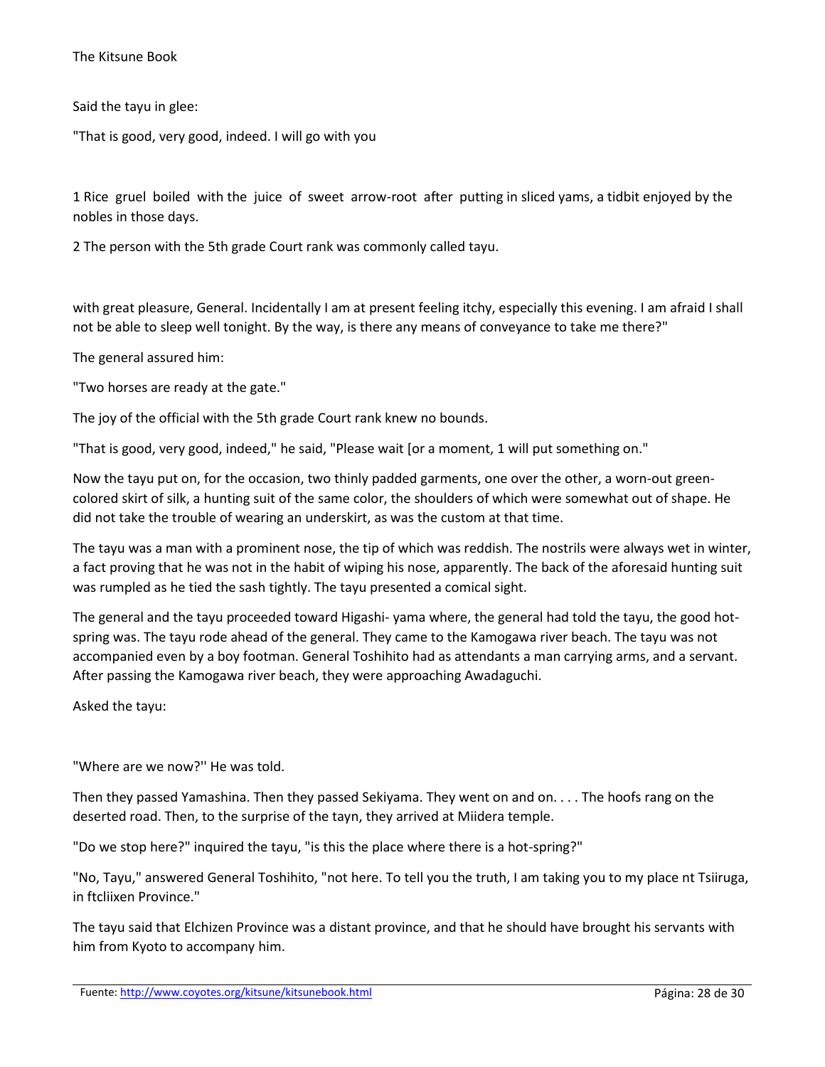The Kitsune Book

Said the tayu in glee:

"That is good, very good, indeed. I will go with you

1 Rice gruel boiled with the juice of sweet arrow-root after putting in sliced yams, a tidbit enjoyed by the nobles in those days.

2 The person with the 5th grade Court rank was commonly called tayu.

with great pleasure, General. Incidentally I am at present feeling itchy, especially this evening. I am afraid I shall not be able to sleep well tonight. By the way, is there any means of conveyance to take me there?"

The general assured him:

"Two horses are ready at the gate."

The joy of the official with the 5th grade Court rank knew no bounds.

"That is good, very good, indeed," he said, "Please wait [or a moment, 1 will put something on."

Now the tayu put on, for the occasion, two thinly padded garments, one over the other, a worn-out greencolored skirt of silk, a hunting suit of the same color, the shoulders of which were somewhat out of shape. He did not take the trouble of wearing an underskirt, as was the custom at that time.

The tayu was a man with a prominent nose, the tip of which was reddish. The nostrils were always wet in winter, a fact proving that he was not in the habit of wiping his nose, apparently. The back of the aforesaid hunting suit was rumpled as he tied the sash tightly. The tayu presented a comical sight.

The general and the tayu proceeded toward Higashi- yama where, the general had told the tayu, the good hotspring was. The tayu rode ahead of the general. They came to the Kamogawa river beach. The tayu was not accompanied even by a boy footman. General Toshihito had as attendants a man carrying arms, and a servant. After passing the Kamogawa river beach, they were approaching Awadaguchi.

Asked the tayu:

"Where are we now?'' He was told.

Then they passed Yamashina. Then they passed Sekiyama. They went on and on. . . . The hoofs rang on the deserted road. Then, to the surprise of the tayn, they arrived at Miidera temple.

"Do we stop here?" inquired the tayu, "is this the place where there is a hot-spring?"

"No, Tayu," answered General Toshihito, "not here. To tell you the truth, I am taking you to my place nt Tsiiruga, in ftcliixen Province."

The tayu said that Elchizen Province was a distant province, and that he should have brought his servants with him from Kyoto to accompany him.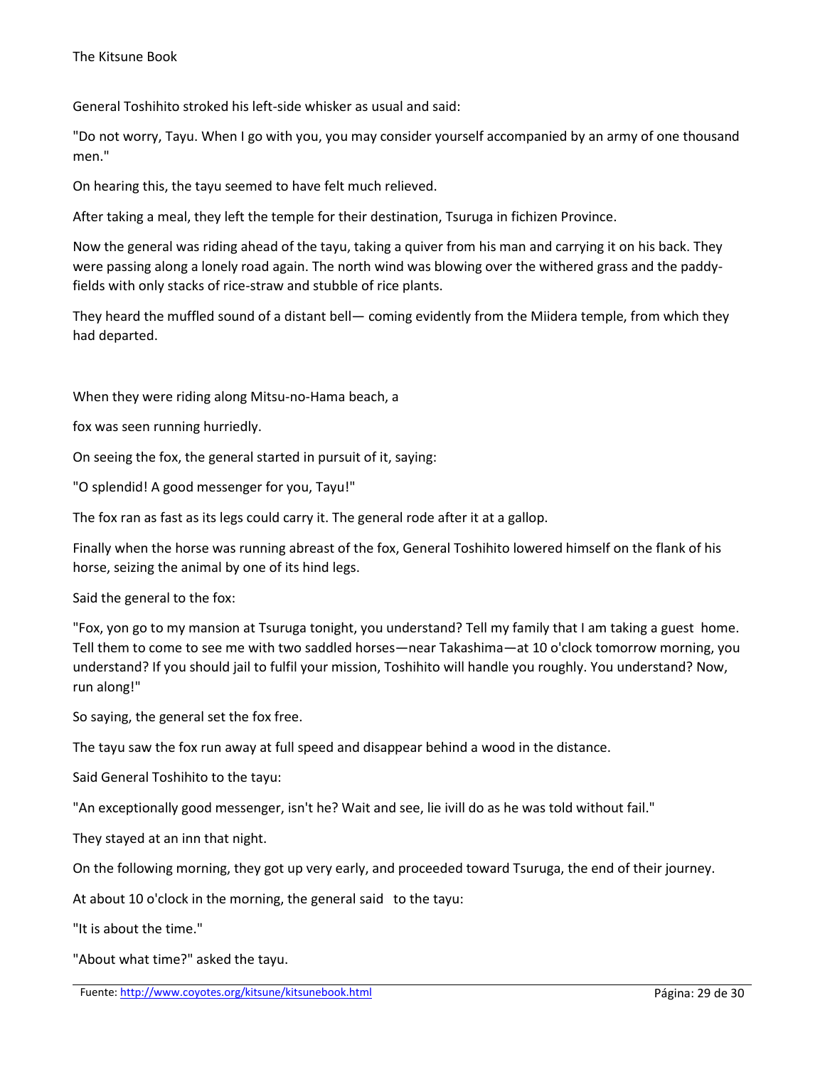General Toshihito stroked his left-side whisker as usual and said:

"Do not worry, Tayu. When I go with you, you may consider yourself accompanied by an army of one thousand men."

On hearing this, the tayu seemed to have felt much relieved.

After taking a meal, they left the temple for their destination, Tsuruga in fichizen Province.

Now the general was riding ahead of the tayu, taking a quiver from his man and carrying it on his back. They were passing along a lonely road again. The north wind was blowing over the withered grass and the paddyfields with only stacks of rice-straw and stubble of rice plants.

They heard the muffled sound of a distant bell— coming evidently from the Miidera temple, from which they had departed.

When they were riding along Mitsu-no-Hama beach, a

fox was seen running hurriedly.

On seeing the fox, the general started in pursuit of it, saying:

"O splendid! A good messenger for you, Tayu!"

The fox ran as fast as its legs could carry it. The general rode after it at a gallop.

Finally when the horse was running abreast of the fox, General Toshihito lowered himself on the flank of his horse, seizing the animal by one of its hind legs.

Said the general to the fox:

"Fox, yon go to my mansion at Tsuruga tonight, you understand? Tell my family that I am taking a guest home. Tell them to come to see me with two saddled horses—near Takashima—at 10 o'clock tomorrow morning, you understand? If you should jail to fulfil your mission, Toshihito will handle you roughly. You understand? Now, run along!"

So saying, the general set the fox free.

The tayu saw the fox run away at full speed and disappear behind a wood in the distance.

Said General Toshihito to the tayu:

"An exceptionally good messenger, isn't he? Wait and see, lie ivill do as he was told without fail."

They stayed at an inn that night.

On the following morning, they got up very early, and proceeded toward Tsuruga, the end of their journey.

At about 10 o'clock in the morning, the general said to the tayu:

"It is about the time."

"About what time?" asked the tayu.

Fuente: <http://www.coyotes.org/kitsune/kitsunebook.html> **Página: 29 de 30**